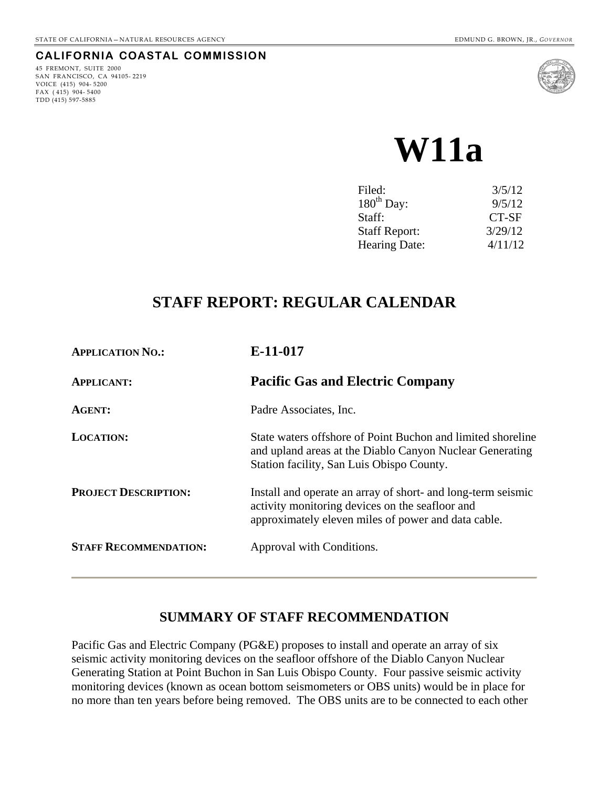#### **CALIFORNIA COASTAL COMMISSION**

45 FREMONT, SUITE 2000 SAN FRANCISCO, CA 94105- 2219 VOICE (415) 904- 5200 FAX ( 415) 904- 5400 TDD (415) 597-5885



# **W11a**

| Filed:               | 3/5/12  |
|----------------------|---------|
| $180^{th}$ Day:      | 9/5/12  |
| Staff:               | CT-SF   |
| <b>Staff Report:</b> | 3/29/12 |
| Hearing Date:        | 4/11/12 |

# **STAFF REPORT: REGULAR CALENDAR**

| <b>APPLICATION NO.:</b>      | E-11-017                                                                                                                                                               |
|------------------------------|------------------------------------------------------------------------------------------------------------------------------------------------------------------------|
| <b>APPLICANT:</b>            | <b>Pacific Gas and Electric Company</b>                                                                                                                                |
| <b>AGENT:</b>                | Padre Associates, Inc.                                                                                                                                                 |
| <b>LOCATION:</b>             | State waters offshore of Point Buchon and limited shoreline<br>and upland areas at the Diablo Canyon Nuclear Generating<br>Station facility, San Luis Obispo County.   |
| <b>PROJECT DESCRIPTION:</b>  | Install and operate an array of short- and long-term seismic<br>activity monitoring devices on the seafloor and<br>approximately eleven miles of power and data cable. |
| <b>STAFF RECOMMENDATION:</b> | Approval with Conditions.                                                                                                                                              |

# **SUMMARY OF STAFF RECOMMENDATION**

Pacific Gas and Electric Company (PG&E) proposes to install and operate an array of six seismic activity monitoring devices on the seafloor offshore of the Diablo Canyon Nuclear Generating Station at Point Buchon in San Luis Obispo County. Four passive seismic activity monitoring devices (known as ocean bottom seismometers or OBS units) would be in place for no more than ten years before being removed. The OBS units are to be connected to each other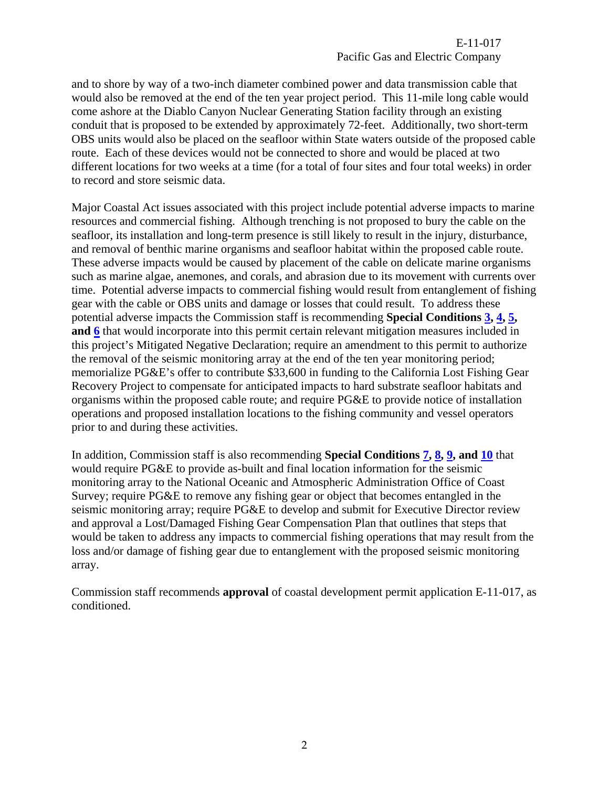and to shore by way of a two-inch diameter combined power and data transmission cable that would also be removed at the end of the ten year project period. This 11-mile long cable would come ashore at the Diablo Canyon Nuclear Generating Station facility through an existing conduit that is proposed to be extended by approximately 72-feet. Additionally, two short-term OBS units would also be placed on the seafloor within State waters outside of the proposed cable route. Each of these devices would not be connected to shore and would be placed at two different locations for two weeks at a time (for a total of four sites and four total weeks) in order to record and store seismic data.

Major Coastal Act issues associated with this project include potential adverse impacts to marine resources and commercial fishing. Although trenching is not proposed to bury the cable on the seafloor, its installation and long-term presence is still likely to result in the injury, disturbance, and removal of benthic marine organisms and seafloor habitat within the proposed cable route. These adverse impacts would be caused by placement of the cable on delicate marine organisms such as marine algae, anemones, and corals, and abrasion due to its movement with currents over time. Potential adverse impacts to commercial fishing would result from entanglement of fishing gear with the cable or OBS units and damage or losses that could result. To address these potential adverse impacts the Commission staff is recommending **Special Conditions [3](#page-4-0), [4](#page-4-1), [5](#page-4-2), and [6](#page-4-3)** that would incorporate into this permit certain relevant mitigation measures included in this project's Mitigated Negative Declaration; require an amendment to this permit to authorize the removal of the seismic monitoring array at the end of the ten year monitoring period; memorialize PG&E's offer to contribute \$33,600 in funding to the California Lost Fishing Gear Recovery Project to compensate for anticipated impacts to hard substrate seafloor habitats and organisms within the proposed cable route; and require PG&E to provide notice of installation operations and proposed installation locations to the fishing community and vessel operators prior to and during these activities.

In addition, Commission staff is also recommending **Special Conditions [7](#page-4-4), [8](#page-5-0), [9](#page-5-1), and [10](#page-5-2)** that would require PG&E to provide as-built and final location information for the seismic monitoring array to the National Oceanic and Atmospheric Administration Office of Coast Survey; require PG&E to remove any fishing gear or object that becomes entangled in the seismic monitoring array; require PG&E to develop and submit for Executive Director review and approval a Lost/Damaged Fishing Gear Compensation Plan that outlines that steps that would be taken to address any impacts to commercial fishing operations that may result from the loss and/or damage of fishing gear due to entanglement with the proposed seismic monitoring array.

Commission staff recommends **approval** of coastal development permit application E-11-017, as conditioned.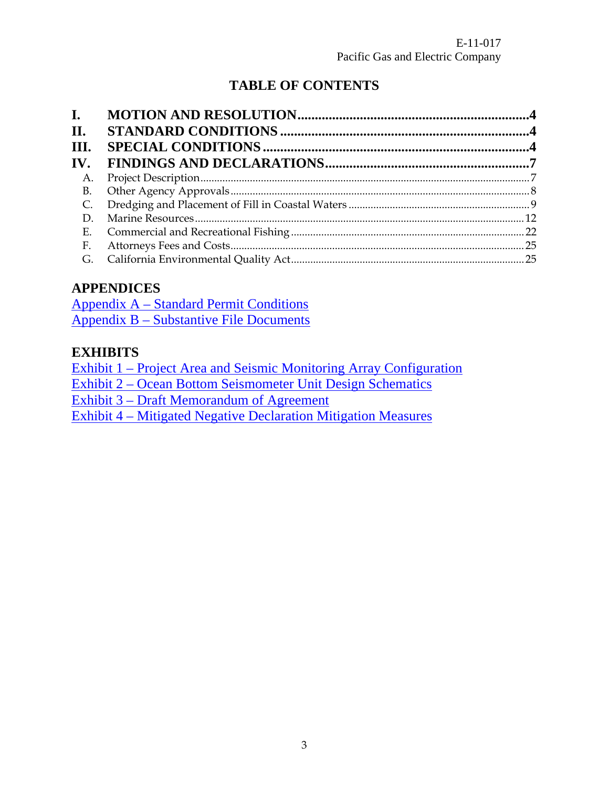# **TABLE OF CONTENTS**

| $\mathbf{I}$ .<br>II.   |  |
|-------------------------|--|
| Ш.                      |  |
| $\mathbf{IV}_{\text{}}$ |  |
| А.                      |  |
| <b>B.</b>               |  |
| C.                      |  |
| D.                      |  |
|                         |  |
| F.                      |  |
| G.                      |  |

# **APPENDICES**

[Appendix A – Standard Permit Conditions](#page-25-0) [Appendix B – Substantive File Documents](#page-26-0)

# **EXHIBITS**

[Exhibit 1 – Project Area and Seismic Monitoring Array Configuration](#page-27-0) [Exhibit 2 – Ocean Bottom Seismometer Unit Design Schematics](#page-28-0) [Exhibit 3 – Draft Memorandum of Agreement](#page-29-0) [Exhibit 4 – Mitigated Negative Declaration Mitigation Measures](#page-35-0)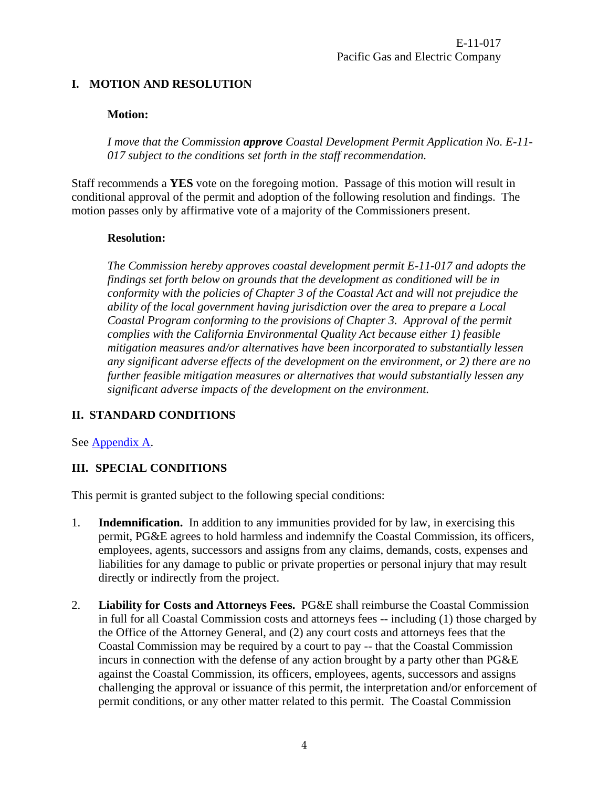# <span id="page-3-0"></span>**I. MOTION AND RESOLUTION**

## **Motion:**

*I move that the Commission approve Coastal Development Permit Application No. E-11- 017 subject to the conditions set forth in the staff recommendation.* 

Staff recommends a **YES** vote on the foregoing motion. Passage of this motion will result in conditional approval of the permit and adoption of the following resolution and findings. The motion passes only by affirmative vote of a majority of the Commissioners present.

#### **Resolution:**

*The Commission hereby approves coastal development permit E-11-017 and adopts the findings set forth below on grounds that the development as conditioned will be in conformity with the policies of Chapter 3 of the Coastal Act and will not prejudice the ability of the local government having jurisdiction over the area to prepare a Local Coastal Program conforming to the provisions of Chapter 3. Approval of the permit complies with the California Environmental Quality Act because either 1) feasible mitigation measures and/or alternatives have been incorporated to substantially lessen any significant adverse effects of the development on the environment, or 2) there are no further feasible mitigation measures or alternatives that would substantially lessen any significant adverse impacts of the development on the environment.* 

## <span id="page-3-1"></span>**II. STANDARD CONDITIONS**

See [Appendix A](#page-25-0).

## <span id="page-3-2"></span>**III. SPECIAL CONDITIONS**

This permit is granted subject to the following special conditions:

- 1. **Indemnification.** In addition to any immunities provided for by law, in exercising this permit, PG&E agrees to hold harmless and indemnify the Coastal Commission, its officers, employees, agents, successors and assigns from any claims, demands, costs, expenses and liabilities for any damage to public or private properties or personal injury that may result directly or indirectly from the project.
- <span id="page-3-3"></span>2. **Liability for Costs and Attorneys Fees.** PG&E shall reimburse the Coastal Commission in full for all Coastal Commission costs and attorneys fees -- including (1) those charged by the Office of the Attorney General, and (2) any court costs and attorneys fees that the Coastal Commission may be required by a court to pay -- that the Coastal Commission incurs in connection with the defense of any action brought by a party other than PG&E against the Coastal Commission, its officers, employees, agents, successors and assigns challenging the approval or issuance of this permit, the interpretation and/or enforcement of permit conditions, or any other matter related to this permit. The Coastal Commission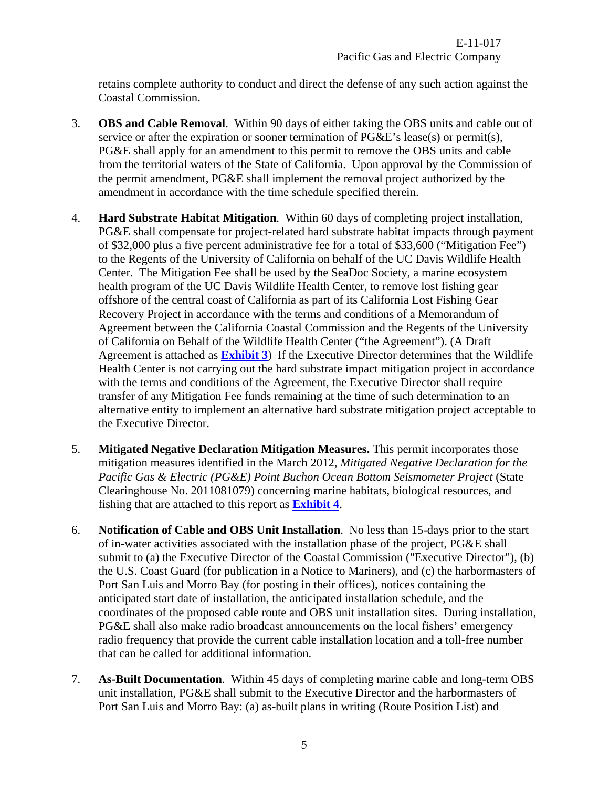retains complete authority to conduct and direct the defense of any such action against the Coastal Commission.

- <span id="page-4-0"></span>3. **OBS and Cable Removal**.Within 90 days of either taking the OBS units and cable out of service or after the expiration or sooner termination of PG&E's lease(s) or permit(s), PG&E shall apply for an amendment to this permit to remove the OBS units and cable from the territorial waters of the State of California. Upon approval by the Commission of the permit amendment, PG&E shall implement the removal project authorized by the amendment in accordance with the time schedule specified therein.
- <span id="page-4-1"></span>4. **Hard Substrate Habitat Mitigation**. Within 60 days of completing project installation, PG&E shall compensate for project-related hard substrate habitat impacts through payment of \$32,000 plus a five percent administrative fee for a total of \$33,600 ("Mitigation Fee") to the Regents of the University of California on behalf of the UC Davis Wildlife Health Center. The Mitigation Fee shall be used by the SeaDoc Society, a marine ecosystem health program of the UC Davis Wildlife Health Center, to remove lost fishing gear offshore of the central coast of California as part of its California Lost Fishing Gear Recovery Project in accordance with the terms and conditions of a Memorandum of Agreement between the California Coastal Commission and the Regents of the University of California on Behalf of the Wildlife Health Center ("the Agreement"). (A Draft Agreement is attached as **[Exhibit 3](#page-29-0)**) If the Executive Director determines that the Wildlife Health Center is not carrying out the hard substrate impact mitigation project in accordance with the terms and conditions of the Agreement, the Executive Director shall require transfer of any Mitigation Fee funds remaining at the time of such determination to an alternative entity to implement an alternative hard substrate mitigation project acceptable to the Executive Director.
- <span id="page-4-2"></span>5. **Mitigated Negative Declaration Mitigation Measures.** This permit incorporates those mitigation measures identified in the March 2012, *Mitigated Negative Declaration for the Pacific Gas & Electric (PG&E) Point Buchon Ocean Bottom Seismometer Project* (State Clearinghouse No. 2011081079) concerning marine habitats, biological resources, and fishing that are attached to this report as **[Exhibit 4](#page-35-0)**.
- <span id="page-4-3"></span>6. **Notification of Cable and OBS Unit Installation**. No less than 15-days prior to the start of in-water activities associated with the installation phase of the project, PG&E shall submit to (a) the Executive Director of the Coastal Commission ("Executive Director"), (b) the U.S. Coast Guard (for publication in a Notice to Mariners), and (c) the harbormasters of Port San Luis and Morro Bay (for posting in their offices), notices containing the anticipated start date of installation, the anticipated installation schedule, and the coordinates of the proposed cable route and OBS unit installation sites. During installation, PG&E shall also make radio broadcast announcements on the local fishers' emergency radio frequency that provide the current cable installation location and a toll-free number that can be called for additional information.
- <span id="page-4-4"></span>7. **As-Built Documentation**. Within 45 days of completing marine cable and long-term OBS unit installation, PG&E shall submit to the Executive Director and the harbormasters of Port San Luis and Morro Bay: (a) as-built plans in writing (Route Position List) and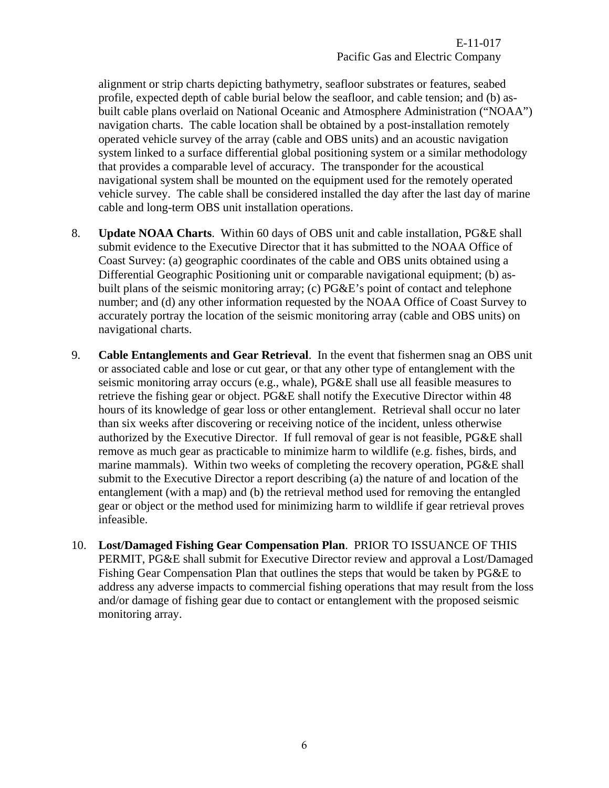alignment or strip charts depicting bathymetry, seafloor substrates or features, seabed profile, expected depth of cable burial below the seafloor, and cable tension; and (b) asbuilt cable plans overlaid on National Oceanic and Atmosphere Administration ("NOAA") navigation charts. The cable location shall be obtained by a post-installation remotely operated vehicle survey of the array (cable and OBS units) and an acoustic navigation system linked to a surface differential global positioning system or a similar methodology that provides a comparable level of accuracy. The transponder for the acoustical navigational system shall be mounted on the equipment used for the remotely operated vehicle survey. The cable shall be considered installed the day after the last day of marine cable and long-term OBS unit installation operations.

- <span id="page-5-0"></span>8. **Update NOAA Charts**. Within 60 days of OBS unit and cable installation, PG&E shall submit evidence to the Executive Director that it has submitted to the NOAA Office of Coast Survey: (a) geographic coordinates of the cable and OBS units obtained using a Differential Geographic Positioning unit or comparable navigational equipment; (b) asbuilt plans of the seismic monitoring array; (c) PG&E's point of contact and telephone number; and (d) any other information requested by the NOAA Office of Coast Survey to accurately portray the location of the seismic monitoring array (cable and OBS units) on navigational charts.
- <span id="page-5-1"></span>9. **Cable Entanglements and Gear Retrieval**. In the event that fishermen snag an OBS unit or associated cable and lose or cut gear, or that any other type of entanglement with the seismic monitoring array occurs (e.g., whale), PG&E shall use all feasible measures to retrieve the fishing gear or object. PG&E shall notify the Executive Director within 48 hours of its knowledge of gear loss or other entanglement. Retrieval shall occur no later than six weeks after discovering or receiving notice of the incident, unless otherwise authorized by the Executive Director. If full removal of gear is not feasible, PG&E shall remove as much gear as practicable to minimize harm to wildlife (e.g. fishes, birds, and marine mammals). Within two weeks of completing the recovery operation, PG&E shall submit to the Executive Director a report describing (a) the nature of and location of the entanglement (with a map) and (b) the retrieval method used for removing the entangled gear or object or the method used for minimizing harm to wildlife if gear retrieval proves infeasible.
- <span id="page-5-2"></span>10. **Lost/Damaged Fishing Gear Compensation Plan**. PRIOR TO ISSUANCE OF THIS PERMIT, PG&E shall submit for Executive Director review and approval a Lost/Damaged Fishing Gear Compensation Plan that outlines the steps that would be taken by PG&E to address any adverse impacts to commercial fishing operations that may result from the loss and/or damage of fishing gear due to contact or entanglement with the proposed seismic monitoring array.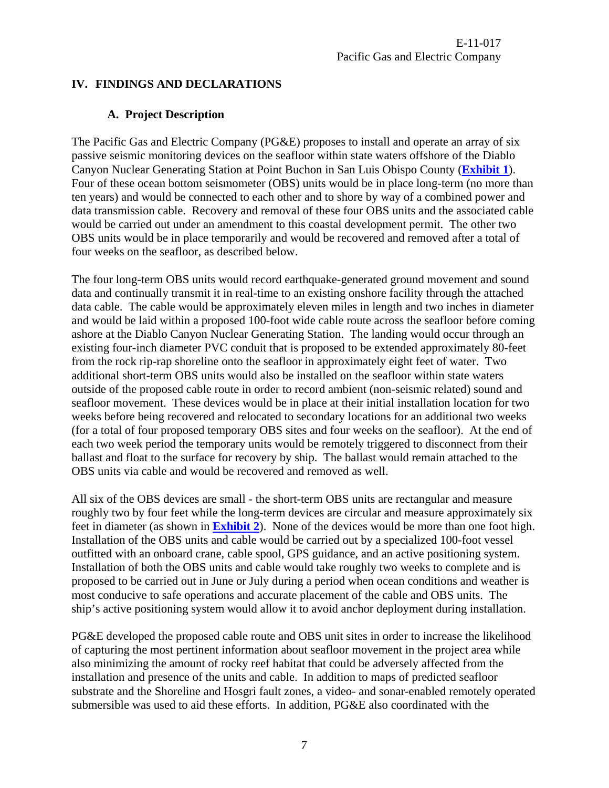## <span id="page-6-1"></span><span id="page-6-0"></span>**IV. FINDINGS AND DECLARATIONS**

# **A. Project Description**

The Pacific Gas and Electric Company (PG&E) proposes to install and operate an array of six passive seismic monitoring devices on the seafloor within state waters offshore of the Diablo Canyon Nuclear Generating Station at Point Buchon in San Luis Obispo County (**[Exhibit 1](#page-27-0)**). Four of these ocean bottom seismometer (OBS) units would be in place long-term (no more than ten years) and would be connected to each other and to shore by way of a combined power and data transmission cable. Recovery and removal of these four OBS units and the associated cable would be carried out under an amendment to this coastal development permit. The other two OBS units would be in place temporarily and would be recovered and removed after a total of four weeks on the seafloor, as described below.

The four long-term OBS units would record earthquake-generated ground movement and sound data and continually transmit it in real-time to an existing onshore facility through the attached data cable. The cable would be approximately eleven miles in length and two inches in diameter and would be laid within a proposed 100-foot wide cable route across the seafloor before coming ashore at the Diablo Canyon Nuclear Generating Station. The landing would occur through an existing four-inch diameter PVC conduit that is proposed to be extended approximately 80-feet from the rock rip-rap shoreline onto the seafloor in approximately eight feet of water. Two additional short-term OBS units would also be installed on the seafloor within state waters outside of the proposed cable route in order to record ambient (non-seismic related) sound and seafloor movement. These devices would be in place at their initial installation location for two weeks before being recovered and relocated to secondary locations for an additional two weeks (for a total of four proposed temporary OBS sites and four weeks on the seafloor). At the end of each two week period the temporary units would be remotely triggered to disconnect from their ballast and float to the surface for recovery by ship. The ballast would remain attached to the OBS units via cable and would be recovered and removed as well.

All six of the OBS devices are small - the short-term OBS units are rectangular and measure roughly two by four feet while the long-term devices are circular and measure approximately six feet in diameter (as shown in **[Exhibit 2](#page-27-0)**). None of the devices would be more than one foot high. Installation of the OBS units and cable would be carried out by a specialized 100-foot vessel outfitted with an onboard crane, cable spool, GPS guidance, and an active positioning system. Installation of both the OBS units and cable would take roughly two weeks to complete and is proposed to be carried out in June or July during a period when ocean conditions and weather is most conducive to safe operations and accurate placement of the cable and OBS units. The ship's active positioning system would allow it to avoid anchor deployment during installation.

PG&E developed the proposed cable route and OBS unit sites in order to increase the likelihood of capturing the most pertinent information about seafloor movement in the project area while also minimizing the amount of rocky reef habitat that could be adversely affected from the installation and presence of the units and cable. In addition to maps of predicted seafloor substrate and the Shoreline and Hosgri fault zones, a video- and sonar-enabled remotely operated submersible was used to aid these efforts. In addition, PG&E also coordinated with the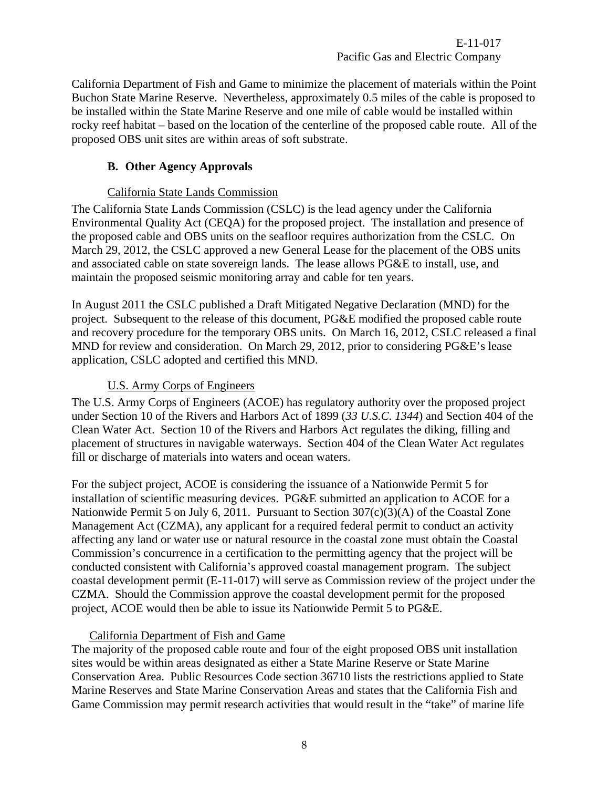E-11-017 Pacific Gas and Electric Company

California Department of Fish and Game to minimize the placement of materials within the Point Buchon State Marine Reserve. Nevertheless, approximately 0.5 miles of the cable is proposed to be installed within the State Marine Reserve and one mile of cable would be installed within rocky reef habitat – based on the location of the centerline of the proposed cable route. All of the proposed OBS unit sites are within areas of soft substrate.

#### **B. Other Agency Approvals**

#### California State Lands Commission

<span id="page-7-0"></span>The California State Lands Commission (CSLC) is the lead agency under the California Environmental Quality Act (CEQA) for the proposed project. The installation and presence of the proposed cable and OBS units on the seafloor requires authorization from the CSLC. On March 29, 2012, the CSLC approved a new General Lease for the placement of the OBS units and associated cable on state sovereign lands. The lease allows PG&E to install, use, and maintain the proposed seismic monitoring array and cable for ten years.

In August 2011 the CSLC published a Draft Mitigated Negative Declaration (MND) for the project. Subsequent to the release of this document, PG&E modified the proposed cable route and recovery procedure for the temporary OBS units. On March 16, 2012, CSLC released a final MND for review and consideration. On March 29, 2012, prior to considering PG&E's lease application, CSLC adopted and certified this MND.

## U.S. Army Corps of Engineers

The U.S. Army Corps of Engineers (ACOE) has regulatory authority over the proposed project under Section 10 of the Rivers and Harbors Act of 1899 (*33 U.S.C. 1344*) and Section 404 of the Clean Water Act. Section 10 of the Rivers and Harbors Act regulates the diking, filling and placement of structures in navigable waterways. Section 404 of the Clean Water Act regulates fill or discharge of materials into waters and ocean waters.

For the subject project, ACOE is considering the issuance of a Nationwide Permit 5 for installation of scientific measuring devices. PG&E submitted an application to ACOE for a Nationwide Permit 5 on July 6, 2011. Pursuant to Section 307(c)(3)(A) of the Coastal Zone Management Act (CZMA), any applicant for a required federal permit to conduct an activity affecting any land or water use or natural resource in the coastal zone must obtain the Coastal Commission's concurrence in a certification to the permitting agency that the project will be conducted consistent with California's approved coastal management program. The subject coastal development permit (E-11-017) will serve as Commission review of the project under the CZMA. Should the Commission approve the coastal development permit for the proposed project, ACOE would then be able to issue its Nationwide Permit 5 to PG&E.

#### California Department of Fish and Game

The majority of the proposed cable route and four of the eight proposed OBS unit installation sites would be within areas designated as either a State Marine Reserve or State Marine Conservation Area. Public Resources Code section 36710 lists the restrictions applied to State Marine Reserves and State Marine Conservation Areas and states that the California Fish and Game Commission may permit research activities that would result in the "take" of marine life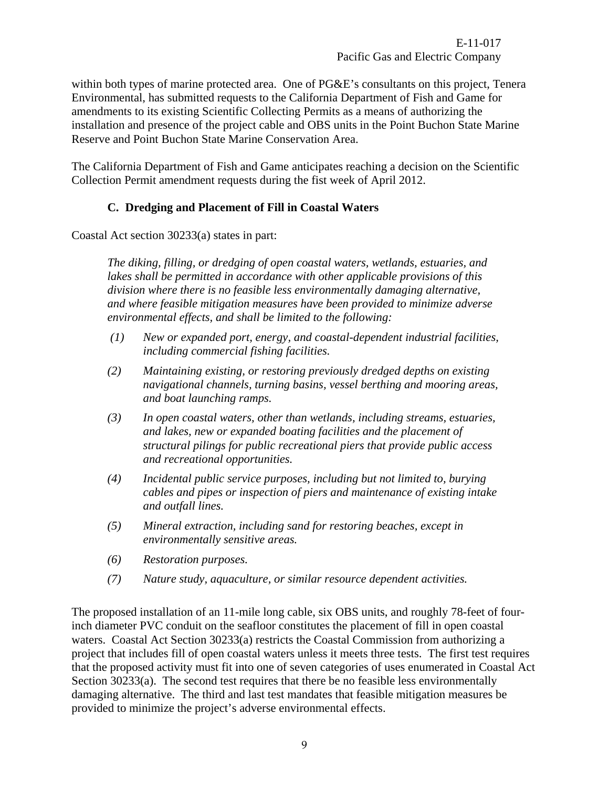within both types of marine protected area. One of PG&E's consultants on this project, Tenera Environmental, has submitted requests to the California Department of Fish and Game for amendments to its existing Scientific Collecting Permits as a means of authorizing the installation and presence of the project cable and OBS units in the Point Buchon State Marine Reserve and Point Buchon State Marine Conservation Area.

The California Department of Fish and Game anticipates reaching a decision on the Scientific Collection Permit amendment requests during the fist week of April 2012.

# **C. Dredging and Placement of Fill in Coastal Waters**

<span id="page-8-0"></span>Coastal Act section 30233(a) states in part:

*The diking, filling, or dredging of open coastal waters, wetlands, estuaries, and lakes shall be permitted in accordance with other applicable provisions of this division where there is no feasible less environmentally damaging alternative, and where feasible mitigation measures have been provided to minimize adverse environmental effects, and shall be limited to the following:* 

- *(1) New or expanded port, energy, and coastal-dependent industrial facilities, including commercial fishing facilities.*
- *(2) Maintaining existing, or restoring previously dredged depths on existing navigational channels, turning basins, vessel berthing and mooring areas, and boat launching ramps.*
- *(3) In open coastal waters, other than wetlands, including streams, estuaries, and lakes, new or expanded boating facilities and the placement of structural pilings for public recreational piers that provide public access and recreational opportunities.*
- *(4) Incidental public service purposes, including but not limited to, burying cables and pipes or inspection of piers and maintenance of existing intake and outfall lines.*
- *(5) Mineral extraction, including sand for restoring beaches, except in environmentally sensitive areas.*
- *(6) Restoration purposes.*
- *(7) Nature study, aquaculture, or similar resource dependent activities.*

The proposed installation of an 11-mile long cable, six OBS units, and roughly 78-feet of fourinch diameter PVC conduit on the seafloor constitutes the placement of fill in open coastal waters. Coastal Act Section 30233(a) restricts the Coastal Commission from authorizing a project that includes fill of open coastal waters unless it meets three tests. The first test requires that the proposed activity must fit into one of seven categories of uses enumerated in Coastal Act Section 30233(a). The second test requires that there be no feasible less environmentally damaging alternative. The third and last test mandates that feasible mitigation measures be provided to minimize the project's adverse environmental effects.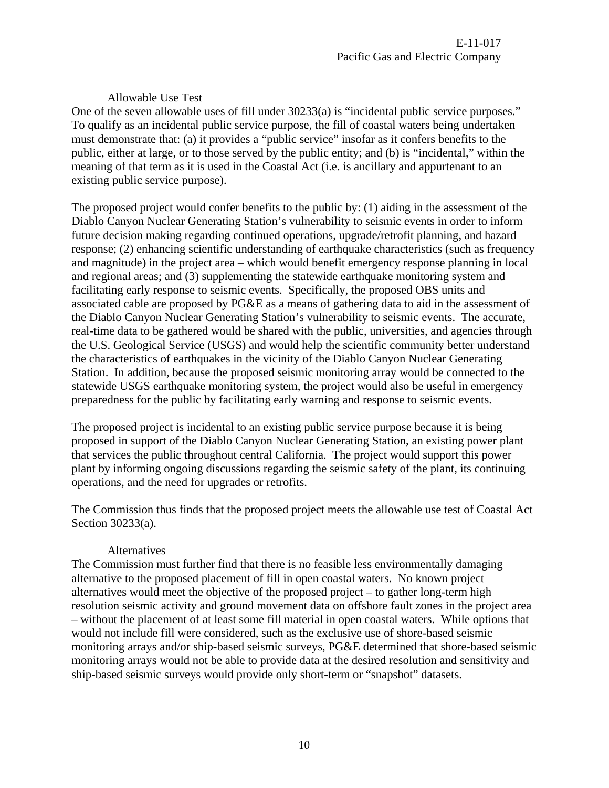# Allowable Use Test

One of the seven allowable uses of fill under 30233(a) is "incidental public service purposes." To qualify as an incidental public service purpose, the fill of coastal waters being undertaken must demonstrate that: (a) it provides a "public service" insofar as it confers benefits to the public, either at large, or to those served by the public entity; and (b) is "incidental," within the meaning of that term as it is used in the Coastal Act (i.e. is ancillary and appurtenant to an existing public service purpose).

The proposed project would confer benefits to the public by: (1) aiding in the assessment of the Diablo Canyon Nuclear Generating Station's vulnerability to seismic events in order to inform future decision making regarding continued operations, upgrade/retrofit planning, and hazard response; (2) enhancing scientific understanding of earthquake characteristics (such as frequency and magnitude) in the project area – which would benefit emergency response planning in local and regional areas; and (3) supplementing the statewide earthquake monitoring system and facilitating early response to seismic events. Specifically, the proposed OBS units and associated cable are proposed by PG&E as a means of gathering data to aid in the assessment of the Diablo Canyon Nuclear Generating Station's vulnerability to seismic events. The accurate, real-time data to be gathered would be shared with the public, universities, and agencies through the U.S. Geological Service (USGS) and would help the scientific community better understand the characteristics of earthquakes in the vicinity of the Diablo Canyon Nuclear Generating Station. In addition, because the proposed seismic monitoring array would be connected to the statewide USGS earthquake monitoring system, the project would also be useful in emergency preparedness for the public by facilitating early warning and response to seismic events.

The proposed project is incidental to an existing public service purpose because it is being proposed in support of the Diablo Canyon Nuclear Generating Station, an existing power plant that services the public throughout central California. The project would support this power plant by informing ongoing discussions regarding the seismic safety of the plant, its continuing operations, and the need for upgrades or retrofits.

The Commission thus finds that the proposed project meets the allowable use test of Coastal Act Section 30233(a).

## Alternatives

The Commission must further find that there is no feasible less environmentally damaging alternative to the proposed placement of fill in open coastal waters. No known project alternatives would meet the objective of the proposed project – to gather long-term high resolution seismic activity and ground movement data on offshore fault zones in the project area – without the placement of at least some fill material in open coastal waters. While options that would not include fill were considered, such as the exclusive use of shore-based seismic monitoring arrays and/or ship-based seismic surveys, PG&E determined that shore-based seismic monitoring arrays would not be able to provide data at the desired resolution and sensitivity and ship-based seismic surveys would provide only short-term or "snapshot" datasets.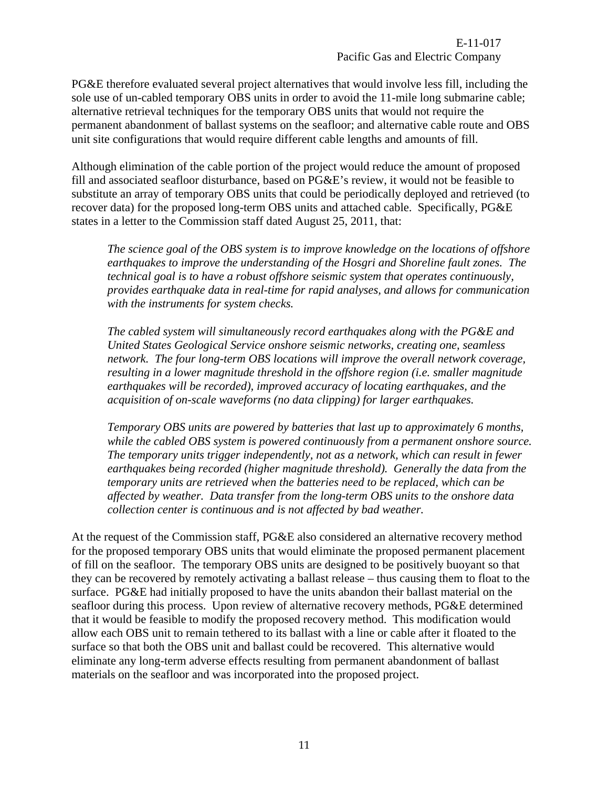PG&E therefore evaluated several project alternatives that would involve less fill, including the sole use of un-cabled temporary OBS units in order to avoid the 11-mile long submarine cable; alternative retrieval techniques for the temporary OBS units that would not require the permanent abandonment of ballast systems on the seafloor; and alternative cable route and OBS unit site configurations that would require different cable lengths and amounts of fill.

Although elimination of the cable portion of the project would reduce the amount of proposed fill and associated seafloor disturbance, based on PG&E's review, it would not be feasible to substitute an array of temporary OBS units that could be periodically deployed and retrieved (to recover data) for the proposed long-term OBS units and attached cable. Specifically, PG&E states in a letter to the Commission staff dated August 25, 2011, that:

*The science goal of the OBS system is to improve knowledge on the locations of offshore earthquakes to improve the understanding of the Hosgri and Shoreline fault zones. The technical goal is to have a robust offshore seismic system that operates continuously, provides earthquake data in real-time for rapid analyses, and allows for communication with the instruments for system checks.* 

*The cabled system will simultaneously record earthquakes along with the PG&E and United States Geological Service onshore seismic networks, creating one, seamless network. The four long-term OBS locations will improve the overall network coverage, resulting in a lower magnitude threshold in the offshore region (i.e. smaller magnitude earthquakes will be recorded), improved accuracy of locating earthquakes, and the acquisition of on-scale waveforms (no data clipping) for larger earthquakes.* 

*Temporary OBS units are powered by batteries that last up to approximately 6 months, while the cabled OBS system is powered continuously from a permanent onshore source. The temporary units trigger independently, not as a network, which can result in fewer earthquakes being recorded (higher magnitude threshold). Generally the data from the temporary units are retrieved when the batteries need to be replaced, which can be affected by weather. Data transfer from the long-term OBS units to the onshore data collection center is continuous and is not affected by bad weather.* 

At the request of the Commission staff, PG&E also considered an alternative recovery method for the proposed temporary OBS units that would eliminate the proposed permanent placement of fill on the seafloor. The temporary OBS units are designed to be positively buoyant so that they can be recovered by remotely activating a ballast release – thus causing them to float to the surface. PG&E had initially proposed to have the units abandon their ballast material on the seafloor during this process. Upon review of alternative recovery methods, PG&E determined that it would be feasible to modify the proposed recovery method. This modification would allow each OBS unit to remain tethered to its ballast with a line or cable after it floated to the surface so that both the OBS unit and ballast could be recovered. This alternative would eliminate any long-term adverse effects resulting from permanent abandonment of ballast materials on the seafloor and was incorporated into the proposed project.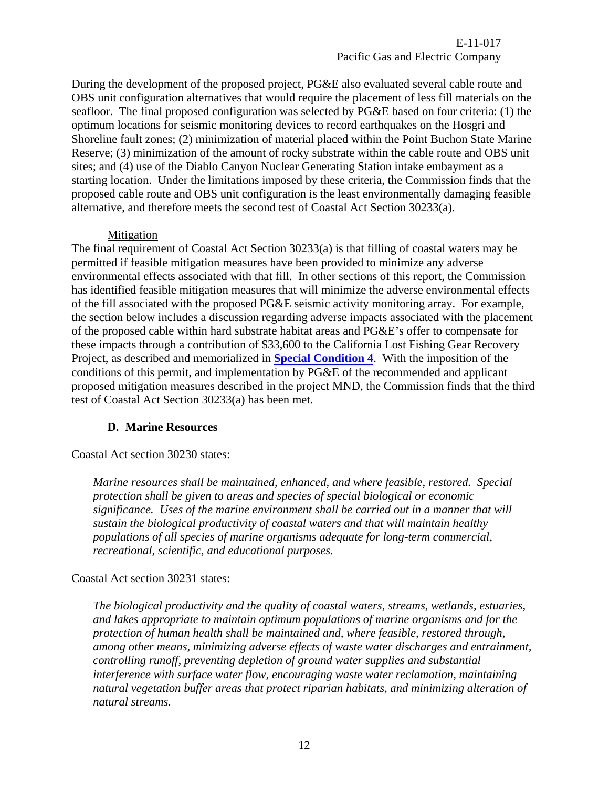E-11-017 Pacific Gas and Electric Company

During the development of the proposed project, PG&E also evaluated several cable route and OBS unit configuration alternatives that would require the placement of less fill materials on the seafloor. The final proposed configuration was selected by PG&E based on four criteria: (1) the optimum locations for seismic monitoring devices to record earthquakes on the Hosgri and Shoreline fault zones; (2) minimization of material placed within the Point Buchon State Marine Reserve; (3) minimization of the amount of rocky substrate within the cable route and OBS unit sites; and (4) use of the Diablo Canyon Nuclear Generating Station intake embayment as a starting location. Under the limitations imposed by these criteria, the Commission finds that the proposed cable route and OBS unit configuration is the least environmentally damaging feasible alternative, and therefore meets the second test of Coastal Act Section 30233(a).

#### Mitigation

The final requirement of Coastal Act Section 30233(a) is that filling of coastal waters may be permitted if feasible mitigation measures have been provided to minimize any adverse environmental effects associated with that fill. In other sections of this report, the Commission has identified feasible mitigation measures that will minimize the adverse environmental effects of the fill associated with the proposed PG&E seismic activity monitoring array. For example, the section below includes a discussion regarding adverse impacts associated with the placement of the proposed cable within hard substrate habitat areas and PG&E's offer to compensate for these impacts through a contribution of \$33,600 to the California Lost Fishing Gear Recovery Project, as described and memorialized in **[Special Condition 4](#page-4-1)**. With the imposition of the conditions of this permit, and implementation by PG&E of the recommended and applicant proposed mitigation measures described in the project MND, the Commission finds that the third test of Coastal Act Section 30233(a) has been met.

#### **D. Marine Resources**

<span id="page-11-0"></span>Coastal Act section 30230 states:

*Marine resources shall be maintained, enhanced, and where feasible, restored. Special protection shall be given to areas and species of special biological or economic significance. Uses of the marine environment shall be carried out in a manner that will sustain the biological productivity of coastal waters and that will maintain healthy populations of all species of marine organisms adequate for long-term commercial, recreational, scientific, and educational purposes.* 

#### Coastal Act section 30231 states:

*The biological productivity and the quality of coastal waters, streams, wetlands, estuaries, and lakes appropriate to maintain optimum populations of marine organisms and for the protection of human health shall be maintained and, where feasible, restored through, among other means, minimizing adverse effects of waste water discharges and entrainment, controlling runoff, preventing depletion of ground water supplies and substantial interference with surface water flow, encouraging waste water reclamation, maintaining natural vegetation buffer areas that protect riparian habitats, and minimizing alteration of natural streams.*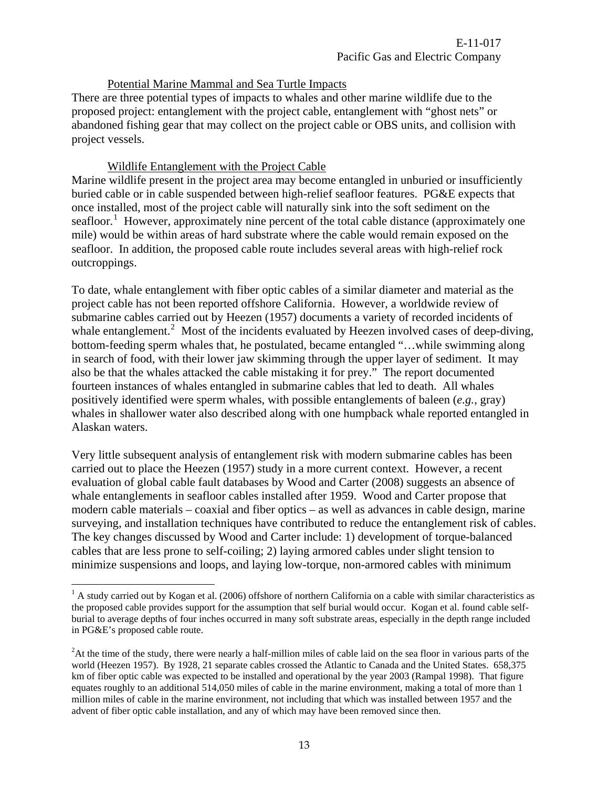#### Potential Marine Mammal and Sea Turtle Impacts

There are three potential types of impacts to whales and other marine wildlife due to the proposed project: entanglement with the project cable, entanglement with "ghost nets" or abandoned fishing gear that may collect on the project cable or OBS units, and collision with project vessels.

#### Wildlife Entanglement with the Project Cable

 $\overline{a}$ 

Marine wildlife present in the project area may become entangled in unburied or insufficiently buried cable or in cable suspended between high-relief seafloor features. PG&E expects that once installed, most of the project cable will naturally sink into the soft sediment on the seafloor.<sup>[1](#page-12-0)</sup> However, approximately nine percent of the total cable distance (approximately one mile) would be within areas of hard substrate where the cable would remain exposed on the seafloor. In addition, the proposed cable route includes several areas with high-relief rock outcroppings.

To date, whale entanglement with fiber optic cables of a similar diameter and material as the project cable has not been reported offshore California. However, a worldwide review of submarine cables carried out by Heezen (1957) documents a variety of recorded incidents of whale entanglement.<sup>[2](#page-12-1)</sup> Most of the incidents evaluated by Heezen involved cases of deep-diving, bottom-feeding sperm whales that, he postulated, became entangled "…while swimming along in search of food, with their lower jaw skimming through the upper layer of sediment. It may also be that the whales attacked the cable mistaking it for prey." The report documented fourteen instances of whales entangled in submarine cables that led to death. All whales positively identified were sperm whales, with possible entanglements of baleen (*e.g.,* gray) whales in shallower water also described along with one humpback whale reported entangled in Alaskan waters.

Very little subsequent analysis of entanglement risk with modern submarine cables has been carried out to place the Heezen (1957) study in a more current context. However, a recent evaluation of global cable fault databases by Wood and Carter (2008) suggests an absence of whale entanglements in seafloor cables installed after 1959. Wood and Carter propose that modern cable materials – coaxial and fiber optics – as well as advances in cable design, marine surveying, and installation techniques have contributed to reduce the entanglement risk of cables. The key changes discussed by Wood and Carter include: 1) development of torque-balanced cables that are less prone to self-coiling; 2) laying armored cables under slight tension to minimize suspensions and loops, and laying low-torque, non-armored cables with minimum

<span id="page-12-0"></span> $<sup>1</sup>$  A study carried out by Kogan et al. (2006) offshore of northern California on a cable with similar characteristics as</sup> the proposed cable provides support for the assumption that self burial would occur. Kogan et al. found cable selfburial to average depths of four inches occurred in many soft substrate areas, especially in the depth range included in PG&E's proposed cable route.

<span id="page-12-1"></span> $2$ At the time of the study, there were nearly a half-million miles of cable laid on the sea floor in various parts of the world (Heezen 1957). By 1928, 21 separate cables crossed the Atlantic to Canada and the United States. 658,375 km of fiber optic cable was expected to be installed and operational by the year 2003 (Rampal 1998). That figure equates roughly to an additional 514,050 miles of cable in the marine environment, making a total of more than 1 million miles of cable in the marine environment, not including that which was installed between 1957 and the advent of fiber optic cable installation, and any of which may have been removed since then.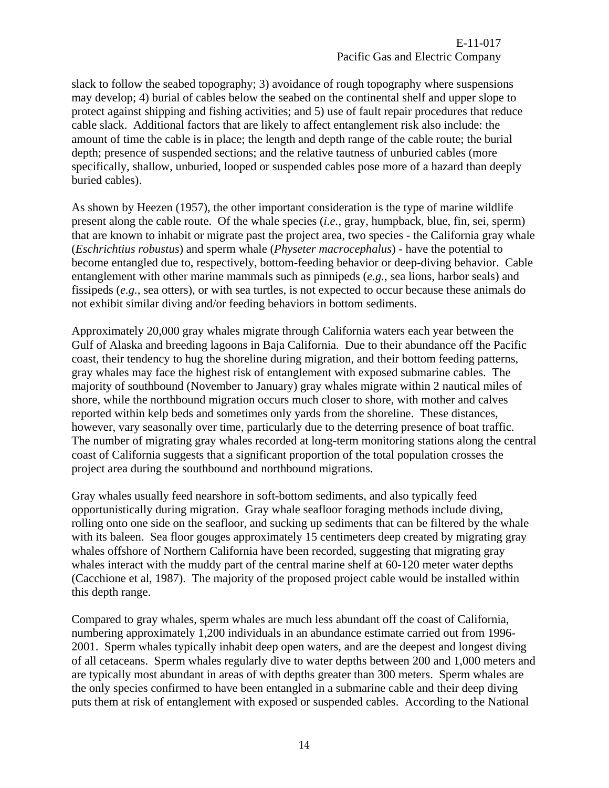E-11-017 Pacific Gas and Electric Company

slack to follow the seabed topography; 3) avoidance of rough topography where suspensions may develop; 4) burial of cables below the seabed on the continental shelf and upper slope to protect against shipping and fishing activities; and 5) use of fault repair procedures that reduce cable slack. Additional factors that are likely to affect entanglement risk also include: the amount of time the cable is in place; the length and depth range of the cable route; the burial depth; presence of suspended sections; and the relative tautness of unburied cables (more specifically, shallow, unburied, looped or suspended cables pose more of a hazard than deeply buried cables).

As shown by Heezen (1957), the other important consideration is the type of marine wildlife present along the cable route. Of the whale species (*i.e.,* gray, humpback, blue, fin, sei, sperm) that are known to inhabit or migrate past the project area, two species - the California gray whale (*Eschrichtius robustus*) and sperm whale (*Physeter macrocephalus*) - have the potential to become entangled due to, respectively, bottom-feeding behavior or deep-diving behavior. Cable entanglement with other marine mammals such as pinnipeds (*e.g.,* sea lions, harbor seals) and fissipeds (*e.g.,* sea otters), or with sea turtles, is not expected to occur because these animals do not exhibit similar diving and/or feeding behaviors in bottom sediments.

Approximately 20,000 gray whales migrate through California waters each year between the Gulf of Alaska and breeding lagoons in Baja California. Due to their abundance off the Pacific coast, their tendency to hug the shoreline during migration, and their bottom feeding patterns, gray whales may face the highest risk of entanglement with exposed submarine cables. The majority of southbound (November to January) gray whales migrate within 2 nautical miles of shore, while the northbound migration occurs much closer to shore, with mother and calves reported within kelp beds and sometimes only yards from the shoreline. These distances, however, vary seasonally over time, particularly due to the deterring presence of boat traffic. The number of migrating gray whales recorded at long-term monitoring stations along the central coast of California suggests that a significant proportion of the total population crosses the project area during the southbound and northbound migrations.

Gray whales usually feed nearshore in soft-bottom sediments, and also typically feed opportunistically during migration. Gray whale seafloor foraging methods include diving, rolling onto one side on the seafloor, and sucking up sediments that can be filtered by the whale with its baleen. Sea floor gouges approximately 15 centimeters deep created by migrating gray whales offshore of Northern California have been recorded, suggesting that migrating gray whales interact with the muddy part of the central marine shelf at 60-120 meter water depths (Cacchione et al, 1987). The majority of the proposed project cable would be installed within this depth range.

Compared to gray whales, sperm whales are much less abundant off the coast of California, numbering approximately 1,200 individuals in an abundance estimate carried out from 1996- 2001. Sperm whales typically inhabit deep open waters, and are the deepest and longest diving of all cetaceans. Sperm whales regularly dive to water depths between 200 and 1,000 meters and are typically most abundant in areas of with depths greater than 300 meters. Sperm whales are the only species confirmed to have been entangled in a submarine cable and their deep diving puts them at risk of entanglement with exposed or suspended cables. According to the National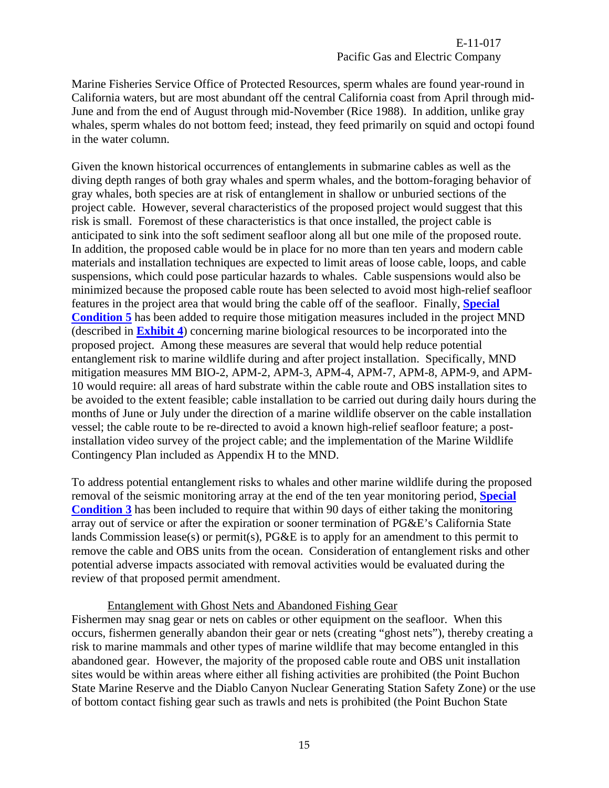Marine Fisheries Service Office of Protected Resources, sperm whales are found year-round in California waters, but are most abundant off the central California coast from April through mid-June and from the end of August through mid-November (Rice 1988). In addition, unlike gray whales, sperm whales do not bottom feed; instead, they feed primarily on squid and octopi found in the water column.

Given the known historical occurrences of entanglements in submarine cables as well as the diving depth ranges of both gray whales and sperm whales, and the bottom-foraging behavior of gray whales, both species are at risk of entanglement in shallow or unburied sections of the project cable. However, several characteristics of the proposed project would suggest that this risk is small. Foremost of these characteristics is that once installed, the project cable is anticipated to sink into the soft sediment seafloor along all but one mile of the proposed route. In addition, the proposed cable would be in place for no more than ten years and modern cable materials and installation techniques are expected to limit areas of loose cable, loops, and cable suspensions, which could pose particular hazards to whales. Cable suspensions would also be minimized because the proposed cable route has been selected to avoid most high-relief seafloor features in the project area that would bring the cable off of the seafloor. Finally, **[Special](#page-4-2)  [Condition 5](#page-4-2)** has been added to require those mitigation measures included in the project MND (described in **[Exhibit 4](#page-35-0)**) concerning marine biological resources to be incorporated into the proposed project. Among these measures are several that would help reduce potential entanglement risk to marine wildlife during and after project installation. Specifically, MND mitigation measures MM BIO-2, APM-2, APM-3, APM-4, APM-7, APM-8, APM-9, and APM-10 would require: all areas of hard substrate within the cable route and OBS installation sites to be avoided to the extent feasible; cable installation to be carried out during daily hours during the months of June or July under the direction of a marine wildlife observer on the cable installation vessel; the cable route to be re-directed to avoid a known high-relief seafloor feature; a postinstallation video survey of the project cable; and the implementation of the Marine Wildlife Contingency Plan included as Appendix H to the MND.

To address potential entanglement risks to whales and other marine wildlife during the proposed removal of the seismic monitoring array at the end of the ten year monitoring period, **[Special](#page-4-0)  [Condition 3](#page-4-0)** has been included to require that within 90 days of either taking the monitoring array out of service or after the expiration or sooner termination of PG&E's California State lands Commission lease(s) or permit(s), PG&E is to apply for an amendment to this permit to remove the cable and OBS units from the ocean. Consideration of entanglement risks and other potential adverse impacts associated with removal activities would be evaluated during the review of that proposed permit amendment.

#### Entanglement with Ghost Nets and Abandoned Fishing Gear

Fishermen may snag gear or nets on cables or other equipment on the seafloor. When this occurs, fishermen generally abandon their gear or nets (creating "ghost nets"), thereby creating a risk to marine mammals and other types of marine wildlife that may become entangled in this abandoned gear. However, the majority of the proposed cable route and OBS unit installation sites would be within areas where either all fishing activities are prohibited (the Point Buchon State Marine Reserve and the Diablo Canyon Nuclear Generating Station Safety Zone) or the use of bottom contact fishing gear such as trawls and nets is prohibited (the Point Buchon State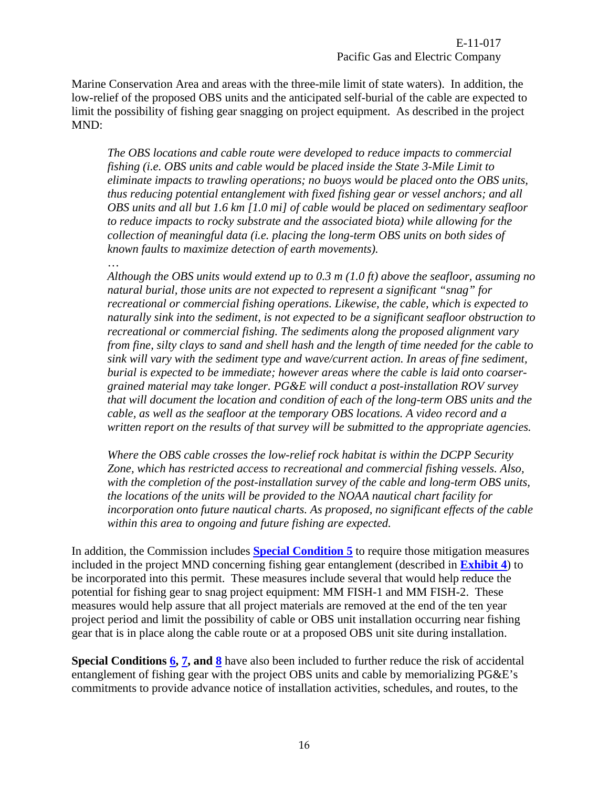Marine Conservation Area and areas with the three-mile limit of state waters). In addition, the low-relief of the proposed OBS units and the anticipated self-burial of the cable are expected to limit the possibility of fishing gear snagging on project equipment. As described in the project MND:

*The OBS locations and cable route were developed to reduce impacts to commercial fishing (i.e. OBS units and cable would be placed inside the State 3-Mile Limit to eliminate impacts to trawling operations; no buoys would be placed onto the OBS units, thus reducing potential entanglement with fixed fishing gear or vessel anchors; and all OBS units and all but 1.6 km [1.0 mi] of cable would be placed on sedimentary seafloor to reduce impacts to rocky substrate and the associated biota) while allowing for the collection of meaningful data (i.e. placing the long-term OBS units on both sides of known faults to maximize detection of earth movements).* 

#### …

*Although the OBS units would extend up to 0.3 m (1.0 ft) above the seafloor, assuming no natural burial, those units are not expected to represent a significant "snag" for recreational or commercial fishing operations. Likewise, the cable, which is expected to naturally sink into the sediment, is not expected to be a significant seafloor obstruction to recreational or commercial fishing. The sediments along the proposed alignment vary from fine, silty clays to sand and shell hash and the length of time needed for the cable to sink will vary with the sediment type and wave/current action. In areas of fine sediment, burial is expected to be immediate; however areas where the cable is laid onto coarsergrained material may take longer. PG&E will conduct a post-installation ROV survey that will document the location and condition of each of the long-term OBS units and the cable, as well as the seafloor at the temporary OBS locations. A video record and a written report on the results of that survey will be submitted to the appropriate agencies.* 

*Where the OBS cable crosses the low-relief rock habitat is within the DCPP Security Zone, which has restricted access to recreational and commercial fishing vessels. Also, with the completion of the post-installation survey of the cable and long-term OBS units, the locations of the units will be provided to the NOAA nautical chart facility for incorporation onto future nautical charts. As proposed, no significant effects of the cable within this area to ongoing and future fishing are expected.* 

In addition, the Commission includes **[Special Condition 5](#page-4-2)** to require those mitigation measures included in the project MND concerning fishing gear entanglement (described in **[Exhibit 4](#page-35-0)**) to be incorporated into this permit. These measures include several that would help reduce the potential for fishing gear to snag project equipment: MM FISH-1 and MM FISH-2. These measures would help assure that all project materials are removed at the end of the ten year project period and limit the possibility of cable or OBS unit installation occurring near fishing gear that is in place along the cable route or at a proposed OBS unit site during installation.

**Special Conditions [6,](#page-4-3) [7,](#page-4-4) and [8](#page-5-0)** have also been included to further reduce the risk of accidental entanglement of fishing gear with the project OBS units and cable by memorializing PG&E's commitments to provide advance notice of installation activities, schedules, and routes, to the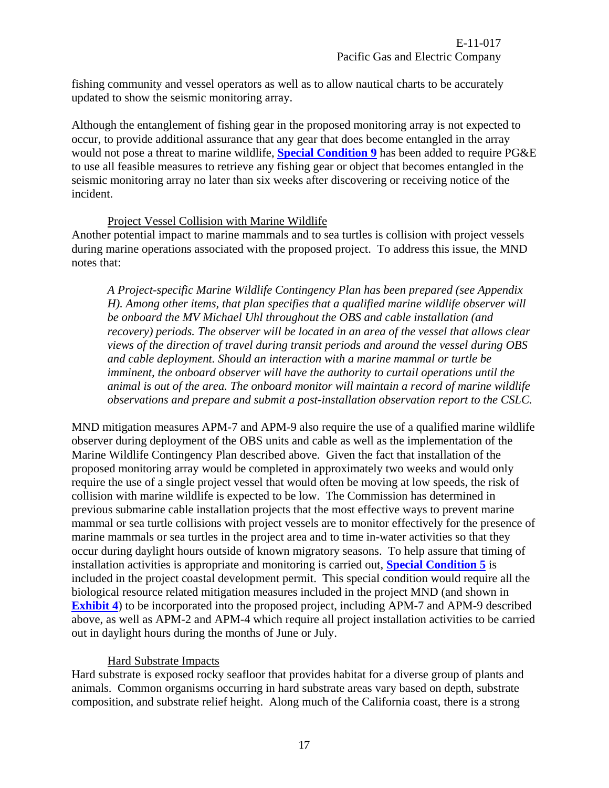fishing community and vessel operators as well as to allow nautical charts to be accurately updated to show the seismic monitoring array.

Although the entanglement of fishing gear in the proposed monitoring array is not expected to occur, to provide additional assurance that any gear that does become entangled in the array would not pose a threat to marine wildlife, **[Special Condition 9](#page-5-1)** has been added to require PG&E to use all feasible measures to retrieve any fishing gear or object that becomes entangled in the seismic monitoring array no later than six weeks after discovering or receiving notice of the incident.

#### Project Vessel Collision with Marine Wildlife

Another potential impact to marine mammals and to sea turtles is collision with project vessels during marine operations associated with the proposed project. To address this issue, the MND notes that:

*A Project-specific Marine Wildlife Contingency Plan has been prepared (see Appendix H). Among other items, that plan specifies that a qualified marine wildlife observer will be onboard the MV Michael Uhl throughout the OBS and cable installation (and recovery*) periods. The observer will be located in an area of the vessel that allows clear *views of the direction of travel during transit periods and around the vessel during OBS and cable deployment. Should an interaction with a marine mammal or turtle be imminent, the onboard observer will have the authority to curtail operations until the animal is out of the area. The onboard monitor will maintain a record of marine wildlife observations and prepare and submit a post-installation observation report to the CSLC.* 

MND mitigation measures APM-7 and APM-9 also require the use of a qualified marine wildlife observer during deployment of the OBS units and cable as well as the implementation of the Marine Wildlife Contingency Plan described above. Given the fact that installation of the proposed monitoring array would be completed in approximately two weeks and would only require the use of a single project vessel that would often be moving at low speeds, the risk of collision with marine wildlife is expected to be low. The Commission has determined in previous submarine cable installation projects that the most effective ways to prevent marine mammal or sea turtle collisions with project vessels are to monitor effectively for the presence of marine mammals or sea turtles in the project area and to time in-water activities so that they occur during daylight hours outside of known migratory seasons. To help assure that timing of installation activities is appropriate and monitoring is carried out, **[Special Condition 5](#page-4-2)** is included in the project coastal development permit. This special condition would require all the biological resource related mitigation measures included in the project MND (and shown in **[Exhibit 4](#page-35-0)**) to be incorporated into the proposed project, including APM-7 and APM-9 described above, as well as APM-2 and APM-4 which require all project installation activities to be carried out in daylight hours during the months of June or July.

## Hard Substrate Impacts

Hard substrate is exposed rocky seafloor that provides habitat for a diverse group of plants and animals. Common organisms occurring in hard substrate areas vary based on depth, substrate composition, and substrate relief height. Along much of the California coast, there is a strong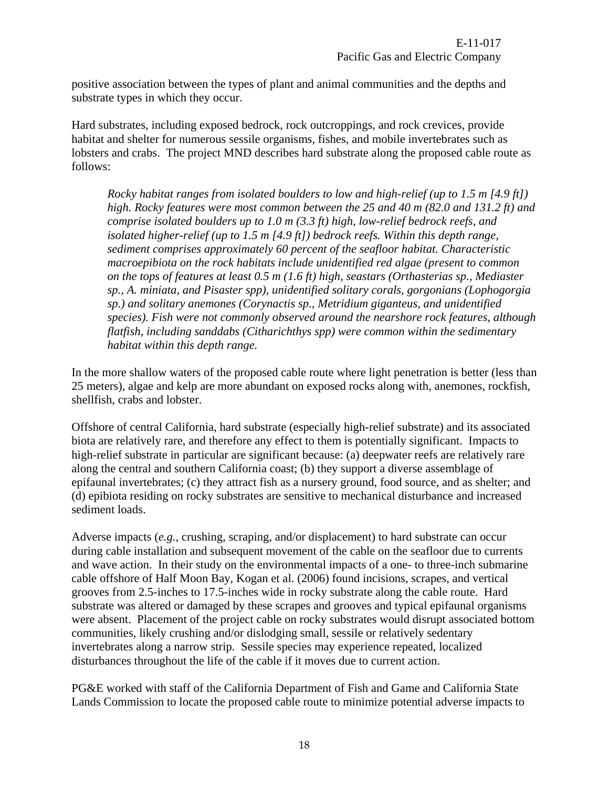positive association between the types of plant and animal communities and the depths and substrate types in which they occur.

Hard substrates, including exposed bedrock, rock outcroppings, and rock crevices, provide habitat and shelter for numerous sessile organisms, fishes, and mobile invertebrates such as lobsters and crabs. The project MND describes hard substrate along the proposed cable route as follows:

*Rocky habitat ranges from isolated boulders to low and high-relief (up to 1.5 m [4.9 ft]) high. Rocky features were most common between the 25 and 40 m (82.0 and 131.2 ft) and comprise isolated boulders up to 1.0 m (3.3 ft) high, low-relief bedrock reefs, and isolated higher-relief (up to 1.5 m [4.9 ft]) bedrock reefs. Within this depth range, sediment comprises approximately 60 percent of the seafloor habitat. Characteristic macroepibiota on the rock habitats include unidentified red algae (present to common on the tops of features at least 0.5 m (1.6 ft) high, seastars (Orthasterias sp., Mediaster sp., A. miniata, and Pisaster spp), unidentified solitary corals, gorgonians (Lophogorgia sp.) and solitary anemones (Corynactis sp., Metridium giganteus, and unidentified species). Fish were not commonly observed around the nearshore rock features, although flatfish, including sanddabs (Citharichthys spp) were common within the sedimentary habitat within this depth range.* 

In the more shallow waters of the proposed cable route where light penetration is better (less than 25 meters), algae and kelp are more abundant on exposed rocks along with, anemones, rockfish, shellfish, crabs and lobster.

Offshore of central California, hard substrate (especially high-relief substrate) and its associated biota are relatively rare, and therefore any effect to them is potentially significant. Impacts to high-relief substrate in particular are significant because: (a) deepwater reefs are relatively rare along the central and southern California coast; (b) they support a diverse assemblage of epifaunal invertebrates; (c) they attract fish as a nursery ground, food source, and as shelter; and (d) epibiota residing on rocky substrates are sensitive to mechanical disturbance and increased sediment loads.

Adverse impacts (*e.g.,* crushing, scraping, and/or displacement) to hard substrate can occur during cable installation and subsequent movement of the cable on the seafloor due to currents and wave action. In their study on the environmental impacts of a one- to three-inch submarine cable offshore of Half Moon Bay, Kogan et al. (2006) found incisions, scrapes, and vertical grooves from 2.5-inches to 17.5-inches wide in rocky substrate along the cable route. Hard substrate was altered or damaged by these scrapes and grooves and typical epifaunal organisms were absent. Placement of the project cable on rocky substrates would disrupt associated bottom communities, likely crushing and/or dislodging small, sessile or relatively sedentary invertebrates along a narrow strip. Sessile species may experience repeated, localized disturbances throughout the life of the cable if it moves due to current action.

PG&E worked with staff of the California Department of Fish and Game and California State Lands Commission to locate the proposed cable route to minimize potential adverse impacts to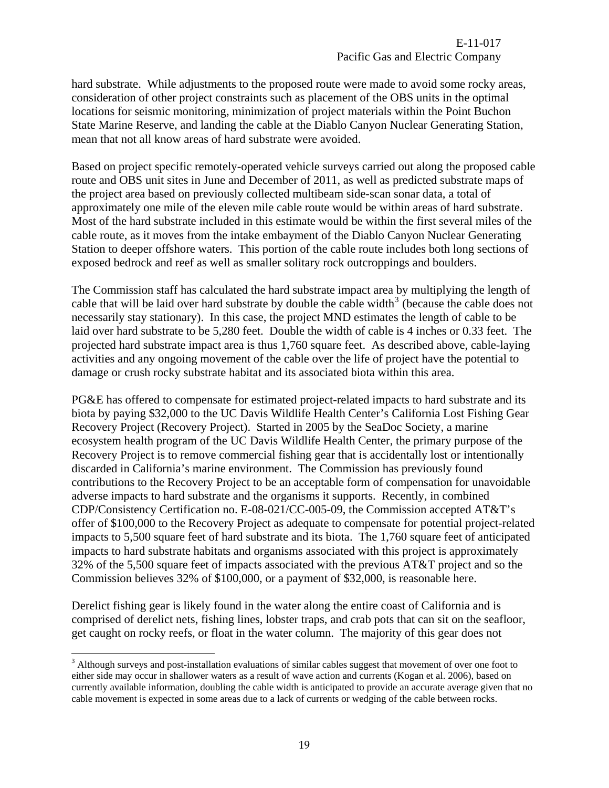hard substrate. While adjustments to the proposed route were made to avoid some rocky areas, consideration of other project constraints such as placement of the OBS units in the optimal locations for seismic monitoring, minimization of project materials within the Point Buchon State Marine Reserve, and landing the cable at the Diablo Canyon Nuclear Generating Station, mean that not all know areas of hard substrate were avoided.

Based on project specific remotely-operated vehicle surveys carried out along the proposed cable route and OBS unit sites in June and December of 2011, as well as predicted substrate maps of the project area based on previously collected multibeam side-scan sonar data, a total of approximately one mile of the eleven mile cable route would be within areas of hard substrate. Most of the hard substrate included in this estimate would be within the first several miles of the cable route, as it moves from the intake embayment of the Diablo Canyon Nuclear Generating Station to deeper offshore waters. This portion of the cable route includes both long sections of exposed bedrock and reef as well as smaller solitary rock outcroppings and boulders.

The Commission staff has calculated the hard substrate impact area by multiplying the length of cable that will be laid over hard substrate by double the cable width<sup>[3](#page-18-0)</sup> (because the cable does not necessarily stay stationary). In this case, the project MND estimates the length of cable to be laid over hard substrate to be 5,280 feet. Double the width of cable is 4 inches or 0.33 feet. The projected hard substrate impact area is thus 1,760 square feet. As described above, cable-laying activities and any ongoing movement of the cable over the life of project have the potential to damage or crush rocky substrate habitat and its associated biota within this area.

PG&E has offered to compensate for estimated project-related impacts to hard substrate and its biota by paying \$32,000 to the UC Davis Wildlife Health Center's California Lost Fishing Gear Recovery Project (Recovery Project). Started in 2005 by the SeaDoc Society, a marine ecosystem health program of the UC Davis Wildlife Health Center, the primary purpose of the Recovery Project is to remove commercial fishing gear that is accidentally lost or intentionally discarded in California's marine environment. The Commission has previously found contributions to the Recovery Project to be an acceptable form of compensation for unavoidable adverse impacts to hard substrate and the organisms it supports. Recently, in combined CDP/Consistency Certification no. E-08-021/CC-005-09, the Commission accepted AT&T's offer of \$100,000 to the Recovery Project as adequate to compensate for potential project-related impacts to 5,500 square feet of hard substrate and its biota. The 1,760 square feet of anticipated impacts to hard substrate habitats and organisms associated with this project is approximately 32% of the 5,500 square feet of impacts associated with the previous AT&T project and so the Commission believes 32% of \$100,000, or a payment of \$32,000, is reasonable here.

Derelict fishing gear is likely found in the water along the entire coast of California and is comprised of derelict nets, fishing lines, lobster traps, and crab pots that can sit on the seafloor, get caught on rocky reefs, or float in the water column. The majority of this gear does not

 $\overline{a}$ 

<span id="page-18-0"></span> $3$  Although surveys and post-installation evaluations of similar cables suggest that movement of over one foot to either side may occur in shallower waters as a result of wave action and currents (Kogan et al. 2006), based on currently available information, doubling the cable width is anticipated to provide an accurate average given that no cable movement is expected in some areas due to a lack of currents or wedging of the cable between rocks.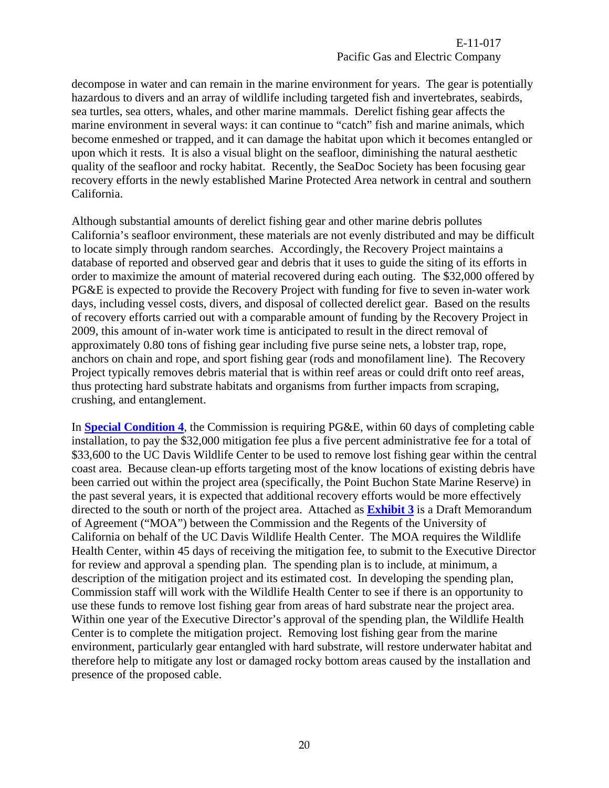E-11-017 Pacific Gas and Electric Company

decompose in water and can remain in the marine environment for years. The gear is potentially hazardous to divers and an array of wildlife including targeted fish and invertebrates, seabirds, sea turtles, sea otters, whales, and other marine mammals. Derelict fishing gear affects the marine environment in several ways: it can continue to "catch" fish and marine animals, which become enmeshed or trapped, and it can damage the habitat upon which it becomes entangled or upon which it rests. It is also a visual blight on the seafloor, diminishing the natural aesthetic quality of the seafloor and rocky habitat. Recently, the SeaDoc Society has been focusing gear recovery efforts in the newly established Marine Protected Area network in central and southern California.

Although substantial amounts of derelict fishing gear and other marine debris pollutes California's seafloor environment, these materials are not evenly distributed and may be difficult to locate simply through random searches. Accordingly, the Recovery Project maintains a database of reported and observed gear and debris that it uses to guide the siting of its efforts in order to maximize the amount of material recovered during each outing. The \$32,000 offered by PG&E is expected to provide the Recovery Project with funding for five to seven in-water work days, including vessel costs, divers, and disposal of collected derelict gear. Based on the results of recovery efforts carried out with a comparable amount of funding by the Recovery Project in 2009, this amount of in-water work time is anticipated to result in the direct removal of approximately 0.80 tons of fishing gear including five purse seine nets, a lobster trap, rope, anchors on chain and rope, and sport fishing gear (rods and monofilament line). The Recovery Project typically removes debris material that is within reef areas or could drift onto reef areas, thus protecting hard substrate habitats and organisms from further impacts from scraping, crushing, and entanglement.

In **[Special Condition 4](#page-4-1)**, the Commission is requiring PG&E, within 60 days of completing cable installation, to pay the \$32,000 mitigation fee plus a five percent administrative fee for a total of \$33,600 to the UC Davis Wildlife Center to be used to remove lost fishing gear within the central coast area. Because clean-up efforts targeting most of the know locations of existing debris have been carried out within the project area (specifically, the Point Buchon State Marine Reserve) in the past several years, it is expected that additional recovery efforts would be more effectively directed to the south or north of the project area. Attached as **[Exhibit 3](#page-29-0)** is a Draft Memorandum of Agreement ("MOA") between the Commission and the Regents of the University of California on behalf of the UC Davis Wildlife Health Center. The MOA requires the Wildlife Health Center, within 45 days of receiving the mitigation fee, to submit to the Executive Director for review and approval a spending plan. The spending plan is to include, at minimum, a description of the mitigation project and its estimated cost. In developing the spending plan, Commission staff will work with the Wildlife Health Center to see if there is an opportunity to use these funds to remove lost fishing gear from areas of hard substrate near the project area. Within one year of the Executive Director's approval of the spending plan, the Wildlife Health Center is to complete the mitigation project. Removing lost fishing gear from the marine environment, particularly gear entangled with hard substrate, will restore underwater habitat and therefore help to mitigate any lost or damaged rocky bottom areas caused by the installation and presence of the proposed cable.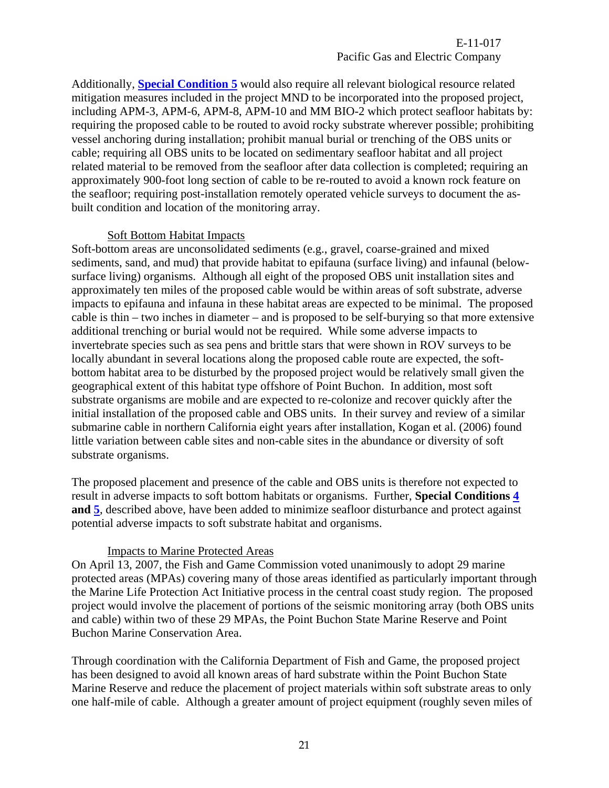Additionally, **[Special Condition 5](#page-4-2)** would also require all relevant biological resource related mitigation measures included in the project MND to be incorporated into the proposed project, including APM-3, APM-6, APM-8, APM-10 and MM BIO-2 which protect seafloor habitats by: requiring the proposed cable to be routed to avoid rocky substrate wherever possible; prohibiting vessel anchoring during installation; prohibit manual burial or trenching of the OBS units or cable; requiring all OBS units to be located on sedimentary seafloor habitat and all project related material to be removed from the seafloor after data collection is completed; requiring an approximately 900-foot long section of cable to be re-routed to avoid a known rock feature on the seafloor; requiring post-installation remotely operated vehicle surveys to document the asbuilt condition and location of the monitoring array.

#### Soft Bottom Habitat Impacts

Soft-bottom areas are unconsolidated sediments (e.g., gravel, coarse-grained and mixed sediments, sand, and mud) that provide habitat to epifauna (surface living) and infaunal (belowsurface living) organisms. Although all eight of the proposed OBS unit installation sites and approximately ten miles of the proposed cable would be within areas of soft substrate, adverse impacts to epifauna and infauna in these habitat areas are expected to be minimal. The proposed cable is thin – two inches in diameter – and is proposed to be self-burying so that more extensive additional trenching or burial would not be required. While some adverse impacts to invertebrate species such as sea pens and brittle stars that were shown in ROV surveys to be locally abundant in several locations along the proposed cable route are expected, the softbottom habitat area to be disturbed by the proposed project would be relatively small given the geographical extent of this habitat type offshore of Point Buchon. In addition, most soft substrate organisms are mobile and are expected to re-colonize and recover quickly after the initial installation of the proposed cable and OBS units. In their survey and review of a similar submarine cable in northern California eight years after installation, Kogan et al. (2006) found little variation between cable sites and non-cable sites in the abundance or diversity of soft substrate organisms.

The proposed placement and presence of the cable and OBS units is therefore not expected to result in adverse impacts to soft bottom habitats or organisms. Further, **Special Conditions [4](#page-4-1) and [5](#page-4-2)**, described above, have been added to minimize seafloor disturbance and protect against potential adverse impacts to soft substrate habitat and organisms.

#### Impacts to Marine Protected Areas

On April 13, 2007, the Fish and Game Commission voted unanimously to adopt 29 marine protected areas (MPAs) covering many of those areas identified as particularly important through the Marine Life Protection Act Initiative process in the central coast study region. The proposed project would involve the placement of portions of the seismic monitoring array (both OBS units and cable) within two of these 29 MPAs, the Point Buchon State Marine Reserve and Point Buchon Marine Conservation Area.

Through coordination with the California Department of Fish and Game, the proposed project has been designed to avoid all known areas of hard substrate within the Point Buchon State Marine Reserve and reduce the placement of project materials within soft substrate areas to only one half-mile of cable. Although a greater amount of project equipment (roughly seven miles of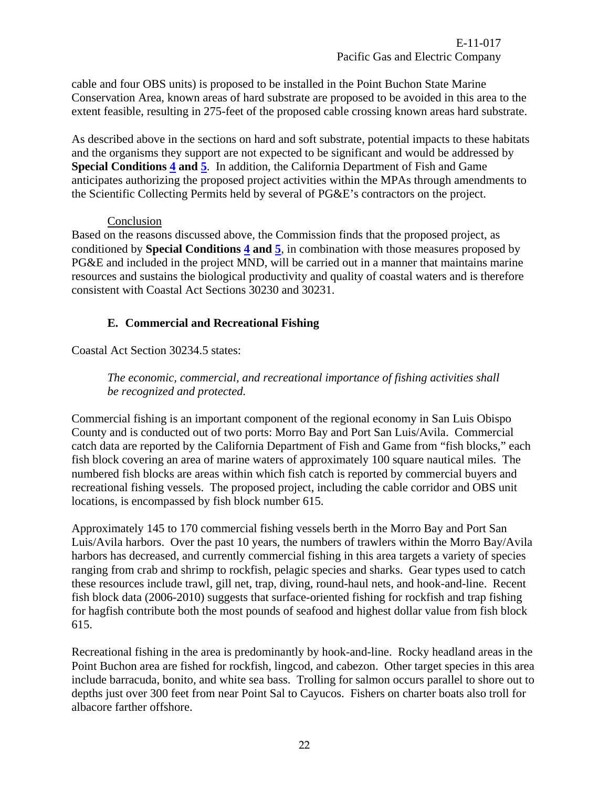cable and four OBS units) is proposed to be installed in the Point Buchon State Marine Conservation Area, known areas of hard substrate are proposed to be avoided in this area to the extent feasible, resulting in 275-feet of the proposed cable crossing known areas hard substrate.

As described above in the sections on hard and soft substrate, potential impacts to these habitats and the organisms they support are not expected to be significant and would be addressed by **Special Conditions [4](#page-4-1) and [5](#page-4-2)**. In addition, the California Department of Fish and Game anticipates authorizing the proposed project activities within the MPAs through amendments to the Scientific Collecting Permits held by several of PG&E's contractors on the project.

#### Conclusion

Based on the reasons discussed above, the Commission finds that the proposed project, as conditioned by **Special Conditions [4](#page-4-1) and [5](#page-4-2)**, in combination with those measures proposed by PG&E and included in the project MND, will be carried out in a manner that maintains marine resources and sustains the biological productivity and quality of coastal waters and is therefore consistent with Coastal Act Sections 30230 and 30231.

# **E. Commercial and Recreational Fishing**

<span id="page-21-0"></span>Coastal Act Section 30234.5 states:

*The economic, commercial, and recreational importance of fishing activities shall be recognized and protected.* 

Commercial fishing is an important component of the regional economy in San Luis Obispo County and is conducted out of two ports: Morro Bay and Port San Luis/Avila. Commercial catch data are reported by the California Department of Fish and Game from "fish blocks," each fish block covering an area of marine waters of approximately 100 square nautical miles. The numbered fish blocks are areas within which fish catch is reported by commercial buyers and recreational fishing vessels. The proposed project, including the cable corridor and OBS unit locations, is encompassed by fish block number 615.

Approximately 145 to 170 commercial fishing vessels berth in the Morro Bay and Port San Luis/Avila harbors. Over the past 10 years, the numbers of trawlers within the Morro Bay/Avila harbors has decreased, and currently commercial fishing in this area targets a variety of species ranging from crab and shrimp to rockfish, pelagic species and sharks. Gear types used to catch these resources include trawl, gill net, trap, diving, round-haul nets, and hook-and-line. Recent fish block data (2006-2010) suggests that surface-oriented fishing for rockfish and trap fishing for hagfish contribute both the most pounds of seafood and highest dollar value from fish block 615.

Recreational fishing in the area is predominantly by hook-and-line. Rocky headland areas in the Point Buchon area are fished for rockfish, lingcod, and cabezon. Other target species in this area include barracuda, bonito, and white sea bass. Trolling for salmon occurs parallel to shore out to depths just over 300 feet from near Point Sal to Cayucos. Fishers on charter boats also troll for albacore farther offshore.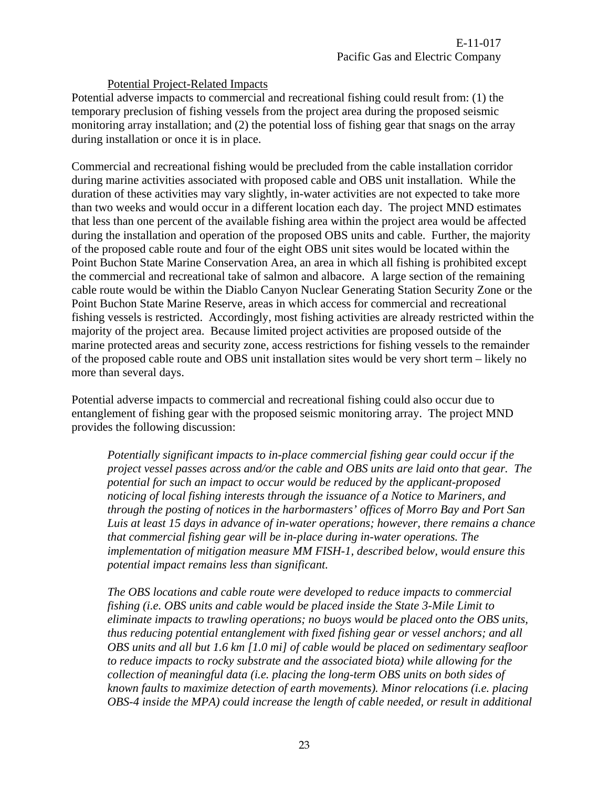#### Potential Project-Related Impacts

Potential adverse impacts to commercial and recreational fishing could result from: (1) the temporary preclusion of fishing vessels from the project area during the proposed seismic monitoring array installation; and (2) the potential loss of fishing gear that snags on the array during installation or once it is in place.

Commercial and recreational fishing would be precluded from the cable installation corridor during marine activities associated with proposed cable and OBS unit installation. While the duration of these activities may vary slightly, in-water activities are not expected to take more than two weeks and would occur in a different location each day. The project MND estimates that less than one percent of the available fishing area within the project area would be affected during the installation and operation of the proposed OBS units and cable. Further, the majority of the proposed cable route and four of the eight OBS unit sites would be located within the Point Buchon State Marine Conservation Area, an area in which all fishing is prohibited except the commercial and recreational take of salmon and albacore. A large section of the remaining cable route would be within the Diablo Canyon Nuclear Generating Station Security Zone or the Point Buchon State Marine Reserve, areas in which access for commercial and recreational fishing vessels is restricted. Accordingly, most fishing activities are already restricted within the majority of the project area. Because limited project activities are proposed outside of the marine protected areas and security zone, access restrictions for fishing vessels to the remainder of the proposed cable route and OBS unit installation sites would be very short term – likely no more than several days.

Potential adverse impacts to commercial and recreational fishing could also occur due to entanglement of fishing gear with the proposed seismic monitoring array. The project MND provides the following discussion:

*Potentially significant impacts to in-place commercial fishing gear could occur if the project vessel passes across and/or the cable and OBS units are laid onto that gear. The potential for such an impact to occur would be reduced by the applicant-proposed noticing of local fishing interests through the issuance of a Notice to Mariners, and through the posting of notices in the harbormasters' offices of Morro Bay and Port San Luis at least 15 days in advance of in-water operations; however, there remains a chance that commercial fishing gear will be in-place during in-water operations. The implementation of mitigation measure MM FISH-1, described below, would ensure this potential impact remains less than significant.* 

*The OBS locations and cable route were developed to reduce impacts to commercial fishing (i.e. OBS units and cable would be placed inside the State 3-Mile Limit to eliminate impacts to trawling operations; no buoys would be placed onto the OBS units, thus reducing potential entanglement with fixed fishing gear or vessel anchors; and all OBS units and all but 1.6 km [1.0 mi] of cable would be placed on sedimentary seafloor to reduce impacts to rocky substrate and the associated biota) while allowing for the collection of meaningful data (i.e. placing the long-term OBS units on both sides of known faults to maximize detection of earth movements). Minor relocations (i.e. placing OBS-4 inside the MPA) could increase the length of cable needed, or result in additional*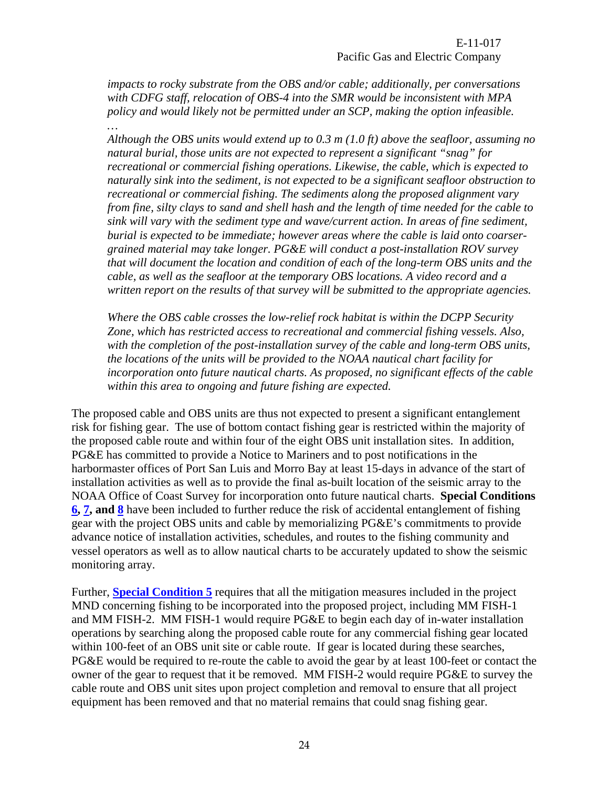E-11-017 Pacific Gas and Electric Company

*impacts to rocky substrate from the OBS and/or cable; additionally, per conversations with CDFG staff, relocation of OBS-4 into the SMR would be inconsistent with MPA policy and would likely not be permitted under an SCP, making the option infeasible. …* 

*Although the OBS units would extend up to 0.3 m (1.0 ft) above the seafloor, assuming no natural burial, those units are not expected to represent a significant "snag" for recreational or commercial fishing operations. Likewise, the cable, which is expected to naturally sink into the sediment, is not expected to be a significant seafloor obstruction to recreational or commercial fishing. The sediments along the proposed alignment vary from fine, silty clays to sand and shell hash and the length of time needed for the cable to sink will vary with the sediment type and wave/current action. In areas of fine sediment, burial is expected to be immediate; however areas where the cable is laid onto coarsergrained material may take longer. PG&E will conduct a post-installation ROV survey that will document the location and condition of each of the long-term OBS units and the cable, as well as the seafloor at the temporary OBS locations. A video record and a written report on the results of that survey will be submitted to the appropriate agencies.* 

*Where the OBS cable crosses the low-relief rock habitat is within the DCPP Security Zone, which has restricted access to recreational and commercial fishing vessels. Also, with the completion of the post-installation survey of the cable and long-term OBS units, the locations of the units will be provided to the NOAA nautical chart facility for incorporation onto future nautical charts. As proposed, no significant effects of the cable within this area to ongoing and future fishing are expected.* 

The proposed cable and OBS units are thus not expected to present a significant entanglement risk for fishing gear. The use of bottom contact fishing gear is restricted within the majority of the proposed cable route and within four of the eight OBS unit installation sites. In addition, PG&E has committed to provide a Notice to Mariners and to post notifications in the harbormaster offices of Port San Luis and Morro Bay at least 15-days in advance of the start of installation activities as well as to provide the final as-built location of the seismic array to the NOAA Office of Coast Survey for incorporation onto future nautical charts. **Special Conditions [6](#page-4-3), [7](#page-4-4), and [8](#page-5-0)** have been included to further reduce the risk of accidental entanglement of fishing gear with the project OBS units and cable by memorializing PG&E's commitments to provide advance notice of installation activities, schedules, and routes to the fishing community and vessel operators as well as to allow nautical charts to be accurately updated to show the seismic monitoring array.

Further, **[Special Condition 5](#page-4-2)** requires that all the mitigation measures included in the project MND concerning fishing to be incorporated into the proposed project, including MM FISH-1 and MM FISH-2. MM FISH-1 would require PG&E to begin each day of in-water installation operations by searching along the proposed cable route for any commercial fishing gear located within 100-feet of an OBS unit site or cable route. If gear is located during these searches, PG&E would be required to re-route the cable to avoid the gear by at least 100-feet or contact the owner of the gear to request that it be removed. MM FISH-2 would require PG&E to survey the cable route and OBS unit sites upon project completion and removal to ensure that all project equipment has been removed and that no material remains that could snag fishing gear.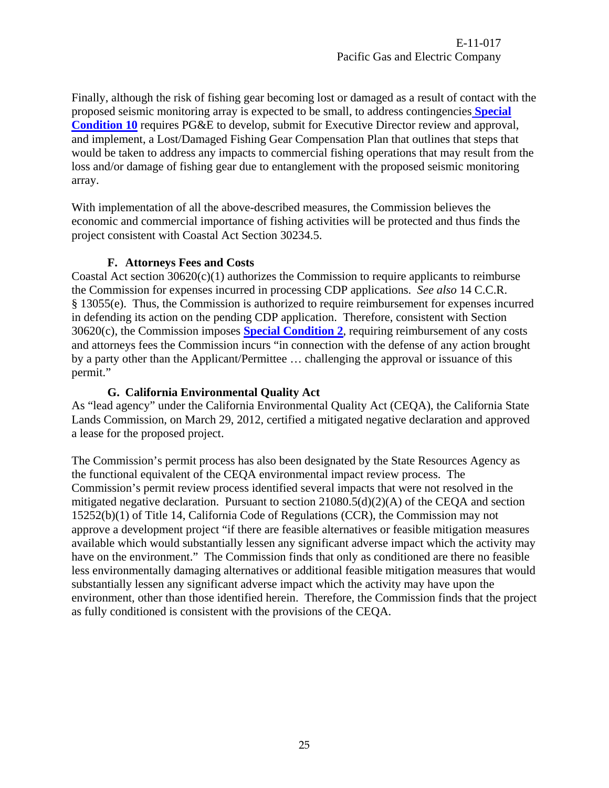Finally, although the risk of fishing gear becoming lost or damaged as a result of contact with the proposed seismic monitoring array is expected to be small, to address contingencies **[Special](#page-5-2)  [Condition 10](#page-5-2)** requires PG&E to develop, submit for Executive Director review and approval, and implement, a Lost/Damaged Fishing Gear Compensation Plan that outlines that steps that would be taken to address any impacts to commercial fishing operations that may result from the loss and/or damage of fishing gear due to entanglement with the proposed seismic monitoring array.

With implementation of all the above-described measures, the Commission believes the economic and commercial importance of fishing activities will be protected and thus finds the project consistent with Coastal Act Section 30234.5.

#### **F. Attorneys Fees and Costs**

<span id="page-24-0"></span>Coastal Act section  $30620(c)(1)$  authorizes the Commission to require applicants to reimburse the Commission for expenses incurred in processing CDP applications. *See also* 14 C.C.R. § 13055(e). Thus, the Commission is authorized to require reimbursement for expenses incurred in defending its action on the pending CDP application. Therefore, consistent with Section 30620(c), the Commission imposes **[Special Condition 2](#page-3-3)**, requiring reimbursement of any costs and attorneys fees the Commission incurs "in connection with the defense of any action brought by a party other than the Applicant/Permittee … challenging the approval or issuance of this permit."

#### **G. California Environmental Quality Act**

<span id="page-24-1"></span>As "lead agency" under the California Environmental Quality Act (CEQA), the California State Lands Commission, on March 29, 2012, certified a mitigated negative declaration and approved a lease for the proposed project.

The Commission's permit process has also been designated by the State Resources Agency as the functional equivalent of the CEQA environmental impact review process. The Commission's permit review process identified several impacts that were not resolved in the mitigated negative declaration. Pursuant to section 21080.5(d)(2)(A) of the CEQA and section 15252(b)(1) of Title 14, California Code of Regulations (CCR), the Commission may not approve a development project "if there are feasible alternatives or feasible mitigation measures available which would substantially lessen any significant adverse impact which the activity may have on the environment." The Commission finds that only as conditioned are there no feasible less environmentally damaging alternatives or additional feasible mitigation measures that would substantially lessen any significant adverse impact which the activity may have upon the environment, other than those identified herein. Therefore, the Commission finds that the project as fully conditioned is consistent with the provisions of the CEQA.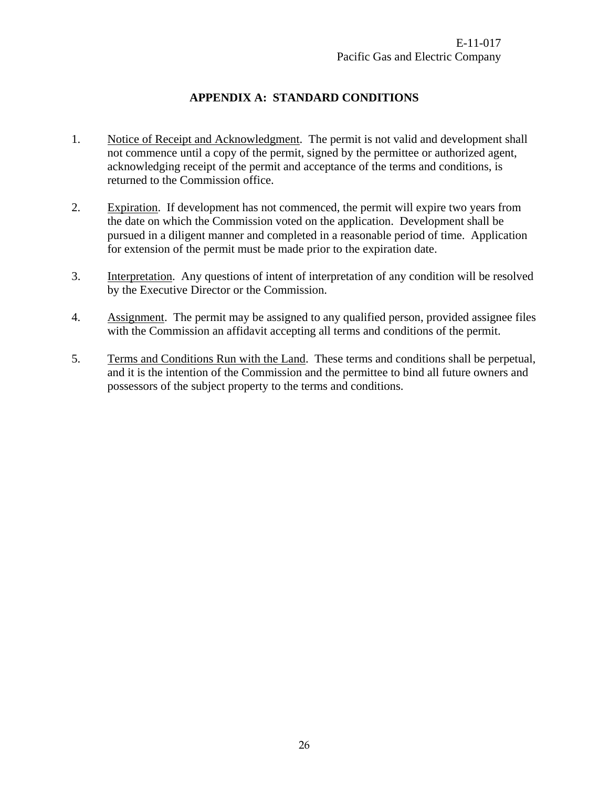# **APPENDIX A: STANDARD CONDITIONS**

- <span id="page-25-0"></span>1. Notice of Receipt and Acknowledgment. The permit is not valid and development shall not commence until a copy of the permit, signed by the permittee or authorized agent, acknowledging receipt of the permit and acceptance of the terms and conditions, is returned to the Commission office.
- 2. Expiration. If development has not commenced, the permit will expire two years from the date on which the Commission voted on the application. Development shall be pursued in a diligent manner and completed in a reasonable period of time. Application for extension of the permit must be made prior to the expiration date.
- 3. Interpretation. Any questions of intent of interpretation of any condition will be resolved by the Executive Director or the Commission.
- 4. Assignment. The permit may be assigned to any qualified person, provided assignee files with the Commission an affidavit accepting all terms and conditions of the permit.
- 5. Terms and Conditions Run with the Land. These terms and conditions shall be perpetual, and it is the intention of the Commission and the permittee to bind all future owners and possessors of the subject property to the terms and conditions.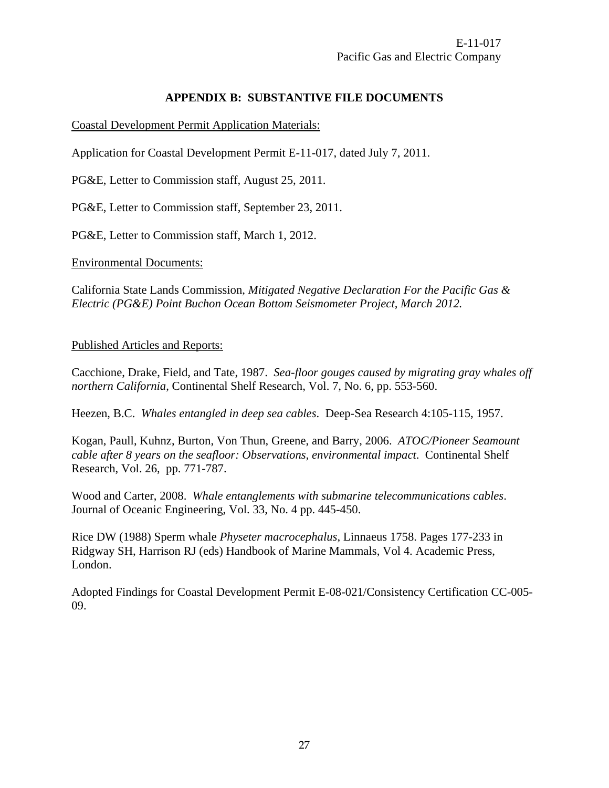# **APPENDIX B: SUBSTANTIVE FILE DOCUMENTS**

<span id="page-26-0"></span>Coastal Development Permit Application Materials:

Application for Coastal Development Permit E-11-017, dated July 7, 2011.

PG&E, Letter to Commission staff, August 25, 2011.

PG&E, Letter to Commission staff, September 23, 2011.

PG&E, Letter to Commission staff, March 1, 2012.

Environmental Documents:

California State Lands Commission, *Mitigated Negative Declaration For the Pacific Gas & Electric (PG&E) Point Buchon Ocean Bottom Seismometer Project, March 2012.* 

#### Published Articles and Reports:

Cacchione, Drake, Field, and Tate, 1987. *Sea-floor gouges caused by migrating gray whales off northern California*, Continental Shelf Research, Vol. 7, No. 6, pp. 553-560.

Heezen, B.C. *Whales entangled in deep sea cables*. Deep-Sea Research 4:105-115, 1957.

Kogan, Paull, Kuhnz, Burton, Von Thun, Greene, and Barry, 2006. *ATOC/Pioneer Seamount cable after 8 years on the seafloor: Observations, environmental impact*. Continental Shelf Research, Vol. 26, pp. 771-787.

Wood and Carter, 2008. *Whale entanglements with submarine telecommunications cables*. Journal of Oceanic Engineering, Vol. 33, No. 4 pp. 445-450.

Rice DW (1988) Sperm whale *Physeter macrocephalus*, Linnaeus 1758. Pages 177-233 in Ridgway SH, Harrison RJ (eds) Handbook of Marine Mammals, Vol 4. Academic Press, London.

Adopted Findings for Coastal Development Permit E-08-021/Consistency Certification CC-005- 09.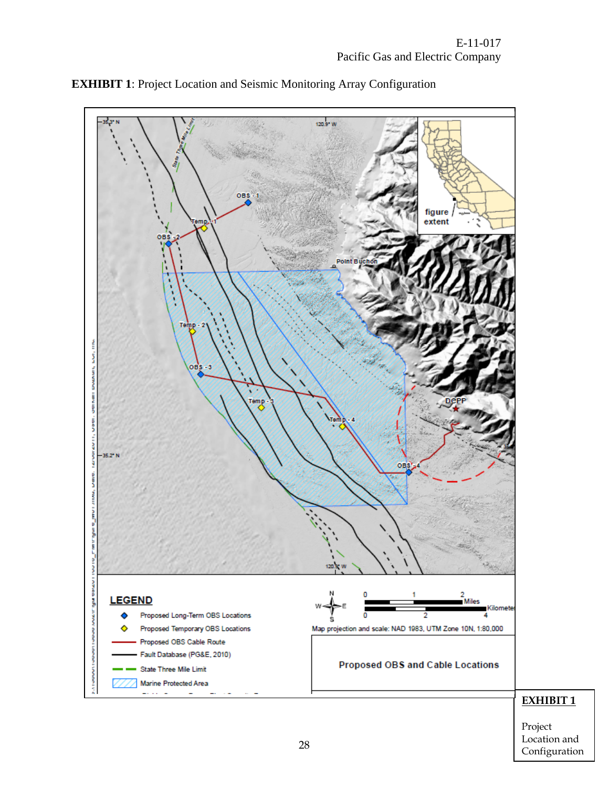<span id="page-27-0"></span>



Project Location and Configuration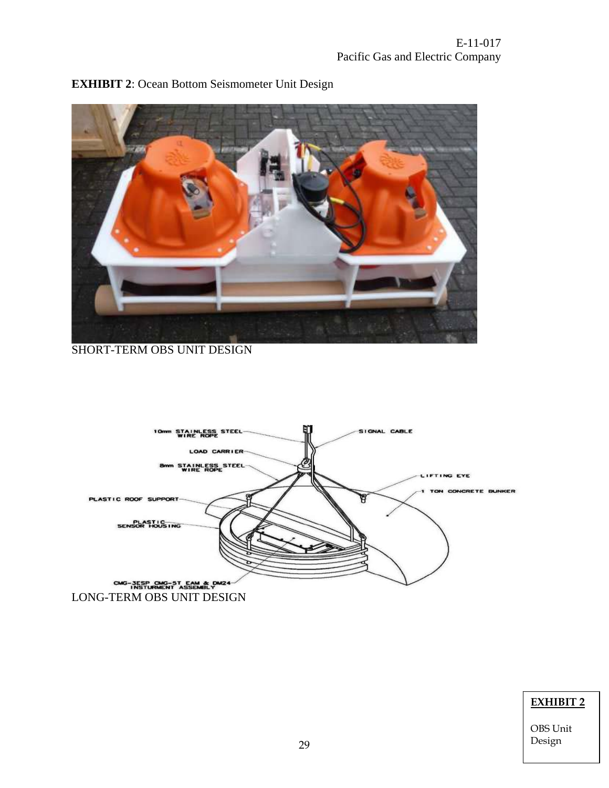

<span id="page-28-0"></span>

SHORT-TERM OBS UNIT DESIGN



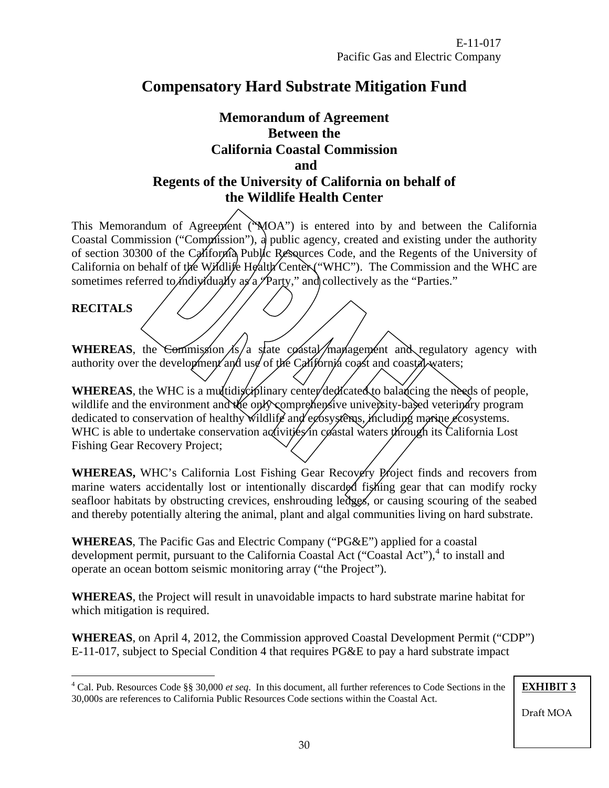# <span id="page-29-0"></span>**Compensatory Hard Substrate Mitigation Fund**

# **Memorandum of Agreement Between the California Coastal Commission and Regents of the University of California on behalf of the Wildlife Health Center**

This Memorandum of Agreement ( $MOA$ ) is entered into by and between the California Coastal Commission ("Commission"), a public agency, created and existing under the authority of section 30300 of the California Public Resources Code, and the Regents of the University of California on behalf of the Wildlife Health Center ("WHC"). The Commission and the WHC are sometimes referred to *i*ndividually as a  $\sqrt{P}$ arty," and collectively as the "Parties."

#### **RECITALS**

 $\overline{a}$ 

**WHEREAS**, the Commission  $\frac{1}{s}$  a state coastal management and regulatory agency with authority over the development and use of the California coast and coastal waters;

**WHEREAS**, the WHC is a multidisciplinary center dedicated to balancing the needs of people, wildlife and the environment and the only comprehensive university-based veterinary program dedicated to conservation of healthy wildlife and ecosystems, including marine ecosystems. WHC is able to undertake conservation activities in coastal waters through its California Lost Fishing Gear Recovery Project;

WHEREAS, WHC's California Lost Fishing Gear Recovery Project finds and recovers from marine waters accidentally lost or intentionally discarded fishing gear that can modify rocky seafloor habitats by obstructing crevices, enshrouding ledges, or causing scouring of the seabed and thereby potentially altering the animal, plant and algal communities living on hard substrate.

**WHEREAS**, The Pacific Gas and Electric Company ("PG&E") applied for a coastal development permit, pursuant to the California Coastal Act ("Coastal Act"),<sup>[4](#page-29-1)</sup> to install and operate an ocean bottom seismic monitoring array ("the Project").

**WHEREAS**, the Project will result in unavoidable impacts to hard substrate marine habitat for which mitigation is required.

**WHEREAS**, on April 4, 2012, the Commission approved Coastal Development Permit ("CDP") E-11-017, subject to Special Condition 4 that requires PG&E to pay a hard substrate impact

**EXHIBIT 3**

<span id="page-29-1"></span><sup>4</sup> Cal. Pub. Resources Code §§ 30,000 *et seq*. In this document, all further references to Code Sections in the 30,000s are references to California Public Resources Code sections within the Coastal Act.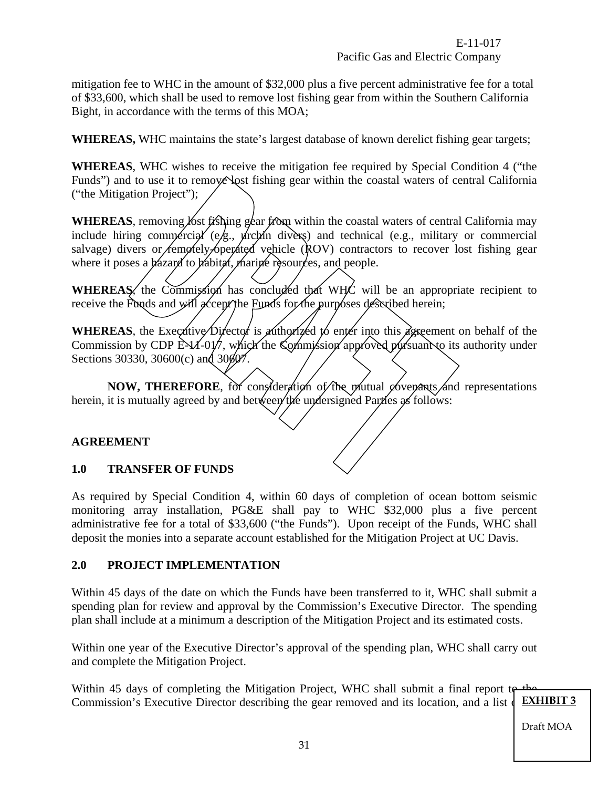E-11-017 Pacific Gas and Electric Company

mitigation fee to WHC in the amount of \$32,000 plus a five percent administrative fee for a total of \$33,600, which shall be used to remove lost fishing gear from within the Southern California Bight, in accordance with the terms of this MOA;

**WHEREAS,** WHC maintains the state's largest database of known derelict fishing gear targets;

**WHEREAS**, WHC wishes to receive the mitigation fee required by Special Condition 4 ("the Funds") and to use it to remove lost fishing gear within the coastal waters of central California ("the Mitigation Project");

**WHEREAS**, removing fost fishing gear from within the coastal waters of central California may include hiring commercial (e.g., urchin divers) and technical (e.g., military or commercial salvage) divers or *femotely-operated* vehicle  $\hat{R}OV$  contractors to recover lost fishing gear where it poses a bazard to babitat, marine resources, and people.

WHEREAS, the Commission has concluded that WHC will be an appropriate recipient to receive the Funds and will accept the Funds for the purposes described herein;

WHEREAS, the Executive Director is authorized to enter into this agreement on behalf of the Commission by CDP  $EM-0\psi$ , which the Commission approved pursuant to its authority under Sections 30330, 30600(c) and 30607.

**NOW, THEREFORE**, for consideration of the mutual covenants and representations herein, it is mutually agreed by and between the undersigned Parties as follows:

## **AGREEMENT**

#### **1.0 TRANSFER OF FUNDS**

As required by Special Condition 4, within 60 days of completion of ocean bottom seismic monitoring array installation, PG&E shall pay to WHC \$32,000 plus a five percent administrative fee for a total of \$33,600 ("the Funds"). Upon receipt of the Funds, WHC shall deposit the monies into a separate account established for the Mitigation Project at UC Davis.

#### **2.0 PROJECT IMPLEMENTATION**

Within 45 days of the date on which the Funds have been transferred to it, WHC shall submit a spending plan for review and approval by the Commission's Executive Director. The spending plan shall include at a minimum a description of the Mitigation Project and its estimated costs.

Within one year of the Executive Director's approval of the spending plan, WHC shall carry out and complete the Mitigation Project.

Within 45 days of completing the Mitigation Project, WHC shall submit a final report to the Commission's Executive Director describing the gear removed and its location, and a list of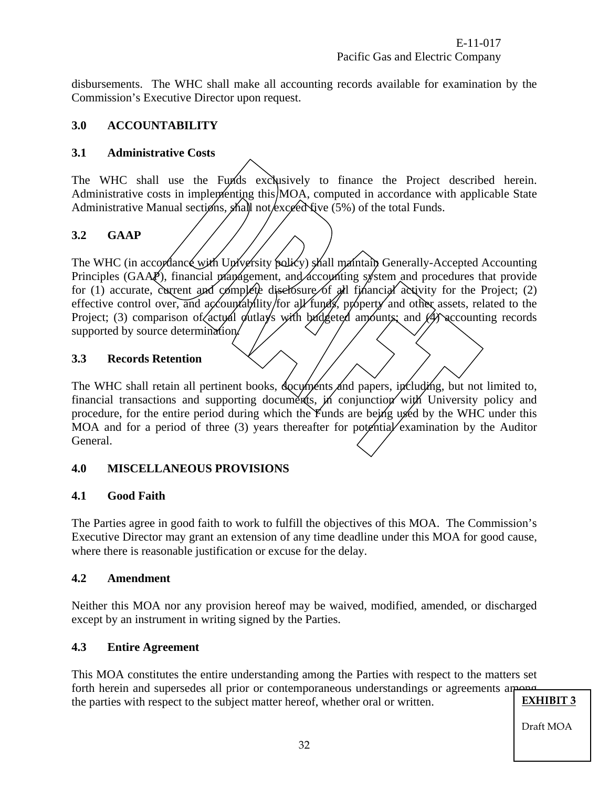disbursements. The WHC shall make all accounting records available for examination by the Commission's Executive Director upon request.

# **3.0 ACCOUNTABILITY**

# **3.1 Administrative Costs**

The WHC shall use the Funds exclusively to finance the Project described herein. Administrative costs in implementing this MOA, computed in accordance with applicable State Administrative Manual sections, shall not exceed five  $(5%)$  of the total Funds.

# **3.2 GAAP**

The WHC (in accordance with University policy) shall maintain Generally-Accepted Accounting Principles (GAAP), financial management, and accounting system and procedures that provide for (1) accurate, current and complete diselosure of all financial activity for the Project; (2) effective control over, and accountability/for all funds, property and other assets, related to the Project; (3) comparison of actual outlays with budgeted amounts; and  $\mathcal{A}$  accounting records supported by source determination.

## **3.3 Records Retention**

The WHC shall retain all pertinent books, documents and papers, including, but not limited to, financial transactions and supporting documents, in conjunction with University policy and procedure, for the entire period during which the Funds are being used by the WHC under this MOA and for a period of three  $(3)$  years thereafter for potential examination by the Auditor General.

## **4.0 MISCELLANEOUS PROVISIONS**

## **4.1 Good Faith**

The Parties agree in good faith to work to fulfill the objectives of this MOA. The Commission's Executive Director may grant an extension of any time deadline under this MOA for good cause, where there is reasonable justification or excuse for the delay.

## **4.2 Amendment**

Neither this MOA nor any provision hereof may be waived, modified, amended, or discharged except by an instrument in writing signed by the Parties.

## **4.3 Entire Agreement**

This MOA constitutes the entire understanding among the Parties with respect to the matters set forth herein and supersedes all prior or contemporaneous understandings or agreements among the parties with respect to the subject matter hereof whether oral or written **EXHIBIT 3** the parties with respect to the subject matter hereof, whether oral or written.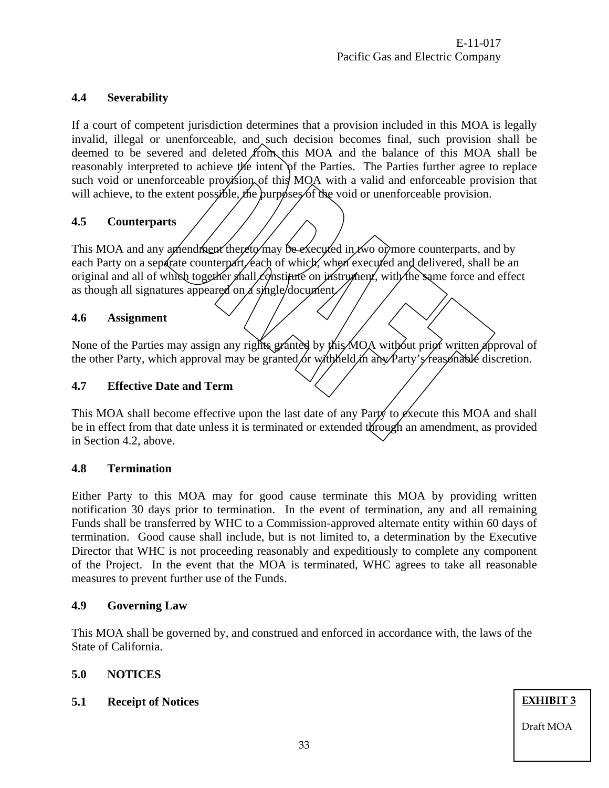# **4.4 Severability**

If a court of competent jurisdiction determines that a provision included in this MOA is legally invalid, illegal or unenforceable, and such decision becomes final, such provision shall be deemed to be severed and deleted from this MOA and the balance of this MOA shall be reasonably interpreted to achieve the intent of the Parties. The Parties further agree to replace such void or unenforceable provision of this MOA with a valid and enforceable provision that will achieve, to the extent possible, the purposes of the void or unenforceable provision.

## **4.5 Counterparts**

This MOA and any amendment thereto may be executed in two or more counterparts, and by each Party on a separate counterpart, each of which, when executed and delivered, shall be an original and all of which together shall constitute on instrument, with the same force and effect as though all signatures appeared on a single/document/

## **4.6 Assignment**

None of the Parties may assign any rights granted by this MOA without prior written approval of the other Party, which approval may be granted or with held in any Party's reasonable discretion.

## **4.7 Effective Date and Term**

This MOA shall become effective upon the last date of any Party to execute this MOA and shall be in effect from that date unless it is terminated or extended through an amendment, as provided in Section 4.2, above.

#### **4.8 Termination**

Either Party to this MOA may for good cause terminate this MOA by providing written notification 30 days prior to termination. In the event of termination, any and all remaining Funds shall be transferred by WHC to a Commission-approved alternate entity within 60 days of termination. Good cause shall include, but is not limited to, a determination by the Executive Director that WHC is not proceeding reasonably and expeditiously to complete any component of the Project. In the event that the MOA is terminated, WHC agrees to take all reasonable measures to prevent further use of the Funds.

## **4.9 Governing Law**

This MOA shall be governed by, and construed and enforced in accordance with, the laws of the State of California.

## **5.0 NOTICES**

## **5.1 Receipt of Notices**

**EXHIBIT 3**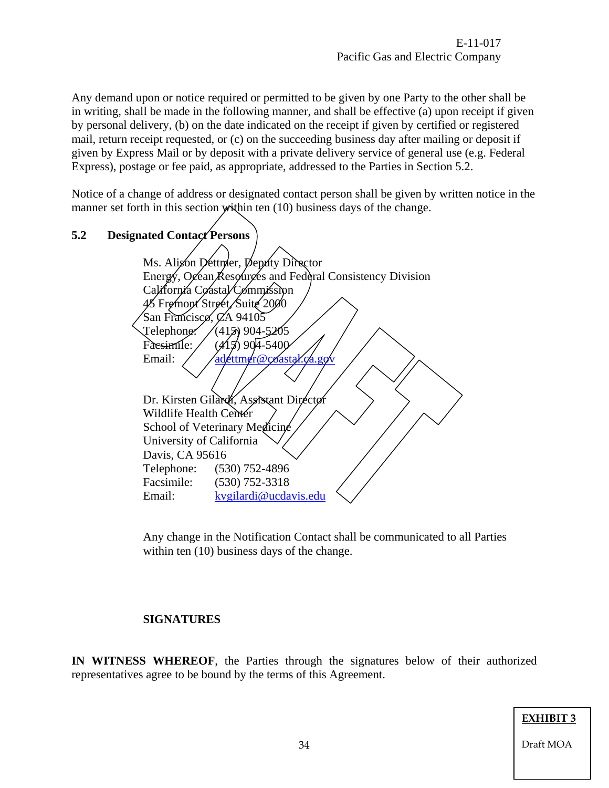Any demand upon or notice required or permitted to be given by one Party to the other shall be in writing, shall be made in the following manner, and shall be effective (a) upon receipt if given by personal delivery, (b) on the date indicated on the receipt if given by certified or registered mail, return receipt requested, or (c) on the succeeding business day after mailing or deposit if given by Express Mail or by deposit with a private delivery service of general use (e.g. Federal Express), postage or fee paid, as appropriate, addressed to the Parties in Section 5.2.

Notice of a change of address or designated contact person shall be given by written notice in the manner set forth in this section within ten (10) business days of the change.

# **5.2 Designated Contact Persons**

| Ms. Alison Dettmer, Deputy Director                      |
|----------------------------------------------------------|
| Energy, Ogean Resourges and Federal Consistency Division |
| California Coastal/Commission                            |
| 45 Fremont Street/Suite 2000                             |
| San Francisco, CA 94105                                  |
| (415) 904-5205<br>Telephone.                             |
| Fàesimile:<br>(415) 904-540(                             |
| Email:<br>adettmer@coastal.ca.go                         |
|                                                          |
|                                                          |
| Dr. Kirsten Gilard, Assistant Director                   |
| Wildlife Health Center                                   |
| School of Veterinary Medicine                            |
| University of California                                 |
| Davis, CA 95616                                          |
| Telephone: (530) 752-4896                                |
| Facsimile: (530) 752-3318                                |
| kvgilardi@ucdavis.edu<br>Email:                          |
|                                                          |

Any change in the Notification Contact shall be communicated to all Parties within ten (10) business days of the change.

#### **SIGNATURES**

**IN WITNESS WHEREOF**, the Parties through the signatures below of their authorized representatives agree to be bound by the terms of this Agreement.

#### **EXHIBIT 3**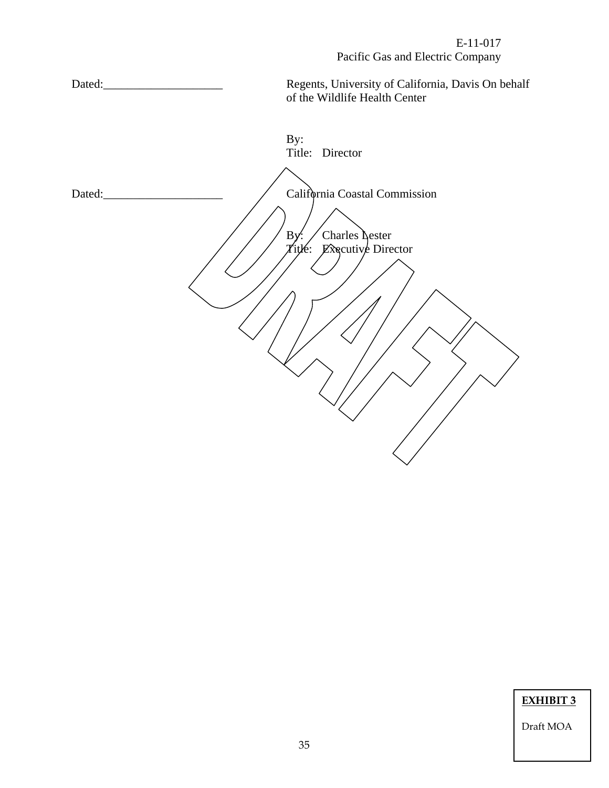Dated:\_\_\_\_\_\_\_\_\_\_\_\_\_\_\_\_\_\_\_\_ Regents, University of California, Davis On behalf of the Wildlife Health Center

By: Title: Director Dated: Dated: Contract Contract Contract Contract Contract Contract Contract Contract Contract Contract Contract Contract Contract Contract Contract Contract Contract Contract Contract Contract Contract Contract Contract C By:  $\angle$  Charles Lester  $\chi$ itle: Executive Director

**EXHIBIT 3**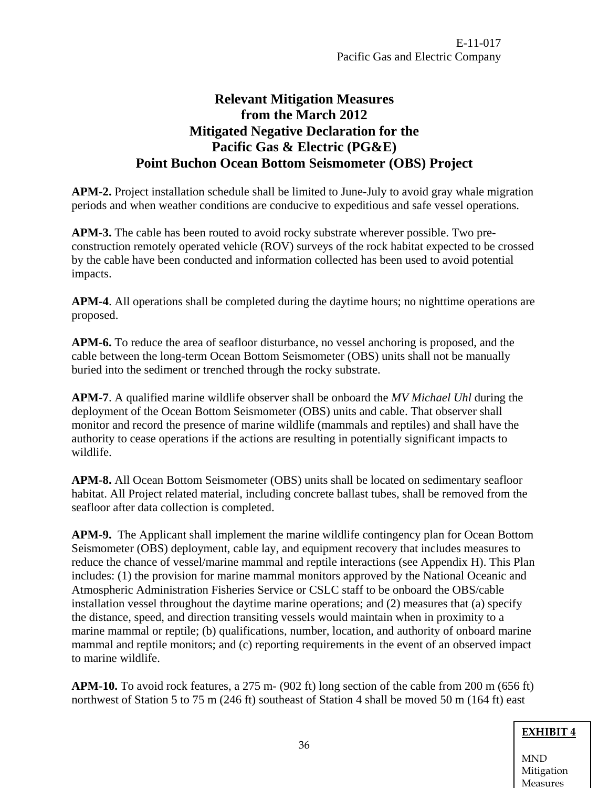# **Relevant Mitigation Measures from the March 2012 Mitigated Negative Declaration for the Pacific Gas & Electric (PG&E) Point Buchon Ocean Bottom Seismometer (OBS) Project**

<span id="page-35-0"></span>**APM-2.** Project installation schedule shall be limited to June-July to avoid gray whale migration periods and when weather conditions are conducive to expeditious and safe vessel operations.

**APM-3.** The cable has been routed to avoid rocky substrate wherever possible. Two preconstruction remotely operated vehicle (ROV) surveys of the rock habitat expected to be crossed by the cable have been conducted and information collected has been used to avoid potential impacts.

**APM-4**. All operations shall be completed during the daytime hours; no nighttime operations are proposed.

**APM-6.** To reduce the area of seafloor disturbance, no vessel anchoring is proposed, and the cable between the long-term Ocean Bottom Seismometer (OBS) units shall not be manually buried into the sediment or trenched through the rocky substrate.

**APM-7**. A qualified marine wildlife observer shall be onboard the *MV Michael Uhl* during the deployment of the Ocean Bottom Seismometer (OBS) units and cable. That observer shall monitor and record the presence of marine wildlife (mammals and reptiles) and shall have the authority to cease operations if the actions are resulting in potentially significant impacts to wildlife.

**APM-8.** All Ocean Bottom Seismometer (OBS) units shall be located on sedimentary seafloor habitat. All Project related material, including concrete ballast tubes, shall be removed from the seafloor after data collection is completed.

**APM-9.** The Applicant shall implement the marine wildlife contingency plan for Ocean Bottom Seismometer (OBS) deployment, cable lay, and equipment recovery that includes measures to reduce the chance of vessel/marine mammal and reptile interactions (see Appendix H). This Plan includes: (1) the provision for marine mammal monitors approved by the National Oceanic and Atmospheric Administration Fisheries Service or CSLC staff to be onboard the OBS/cable installation vessel throughout the daytime marine operations; and (2) measures that (a) specify the distance, speed, and direction transiting vessels would maintain when in proximity to a marine mammal or reptile; (b) qualifications, number, location, and authority of onboard marine mammal and reptile monitors; and (c) reporting requirements in the event of an observed impact to marine wildlife.

**APM-10.** To avoid rock features, a 275 m- (902 ft) long section of the cable from 200 m (656 ft) northwest of Station 5 to 75 m (246 ft) southeast of Station 4 shall be moved 50 m (164 ft) east

## **EXHIBIT 4**

MND Mitigation Measures